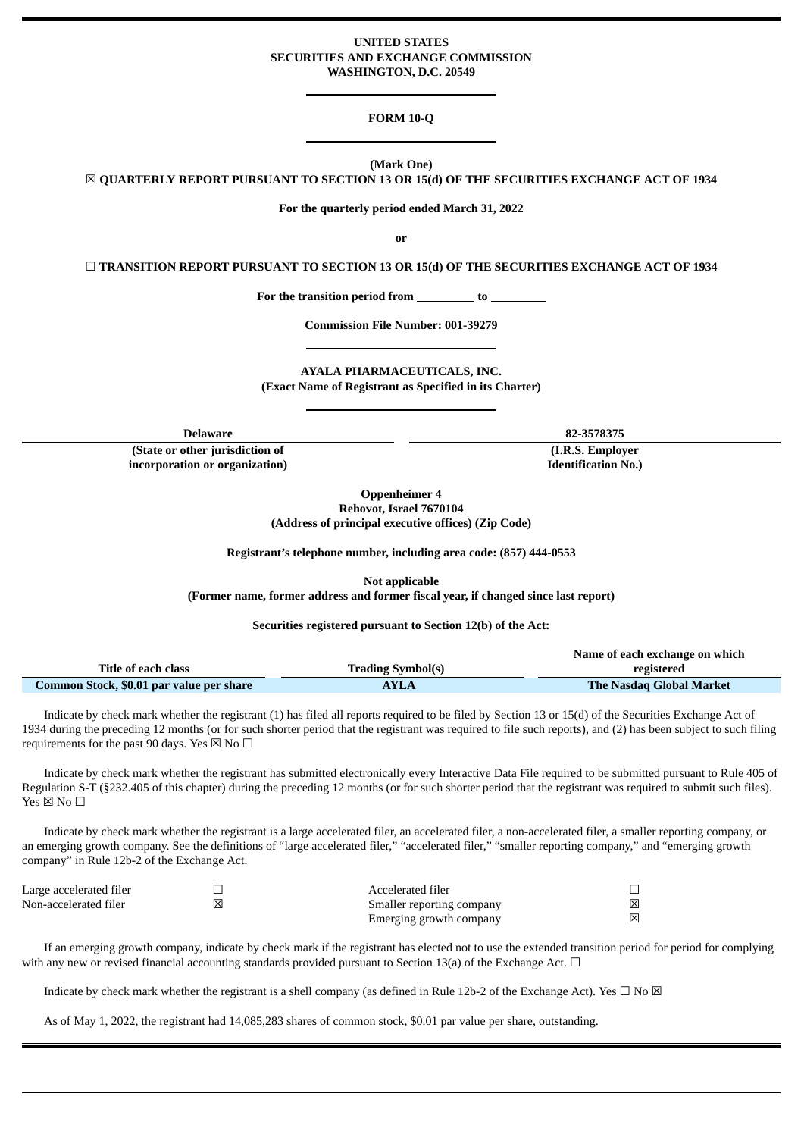### **UNITED STATES SECURITIES AND EXCHANGE COMMISSION WASHINGTON, D.C. 20549**

#### **FORM 10-Q**

**(Mark One)**

☒ **QUARTERLY REPORT PURSUANT TO SECTION 13 OR 15(d) OF THE SECURITIES EXCHANGE ACT OF 1934**

**For the quarterly period ended March 31, 2022**

**or**

☐ **TRANSITION REPORT PURSUANT TO SECTION 13 OR 15(d) OF THE SECURITIES EXCHANGE ACT OF 1934**

**For the transition period from to**

**Commission File Number: 001-39279**

**AYALA PHARMACEUTICALS, INC.**

**(Exact Name of Registrant as Specified in its Charter)**

**(State or other jurisdiction of (I.R.S. Employer incorporation or organization) Identification No.)**

**Delaware 82-3578375**

**Oppenheimer 4 Rehovot, Israel 7670104**

**(Address of principal executive offices) (Zip Code)**

**Registrant's telephone number, including area code: (857) 444-0553**

**Not applicable**

**(Former name, former address and former fiscal year, if changed since last report)**

**Securities registered pursuant to Section 12(b) of the Act:**

|                                          |                          | Name of each exchange on which |
|------------------------------------------|--------------------------|--------------------------------|
| Title of each class                      | <b>Trading Symbol(s)</b> | registered                     |
| Common Stock, \$0.01 par value per share | <b>AYLA</b>              | The Nasdag Global Market       |

Indicate by check mark whether the registrant (1) has filed all reports required to be filed by Section 13 or 15(d) of the Securities Exchange Act of 1934 during the preceding 12 months (or for such shorter period that the registrant was required to file such reports), and (2) has been subject to such filing requirements for the past 90 days. Yes  $\boxtimes$  No  $\Box$ 

Indicate by check mark whether the registrant has submitted electronically every Interactive Data File required to be submitted pursuant to Rule 405 of Regulation S-T (§232.405 of this chapter) during the preceding 12 months (or for such shorter period that the registrant was required to submit such files). Yes  $\boxtimes$  No  $\square$ 

Indicate by check mark whether the registrant is a large accelerated filer, an accelerated filer, a non-accelerated filer, a smaller reporting company, or an emerging growth company. See the definitions of "large accelerated filer," "accelerated filer," "smaller reporting company," and "emerging growth company" in Rule 12b-2 of the Exchange Act.

| Large accelerated filer | Accelerated filer         |   |
|-------------------------|---------------------------|---|
| Non-accelerated filer   | Smaller reporting company | 冈 |
|                         | Emerging growth company   | 冈 |

If an emerging growth company, indicate by check mark if the registrant has elected not to use the extended transition period for period for complying with any new or revised financial accounting standards provided pursuant to Section 13(a) of the Exchange Act.  $\Box$ 

Indicate by check mark whether the registrant is a shell company (as defined in Rule 12b-2 of the Exchange Act). Yes  $\Box$  No  $\boxtimes$ 

As of May 1, 2022, the registrant had 14,085,283 shares of common stock, \$0.01 par value per share, outstanding.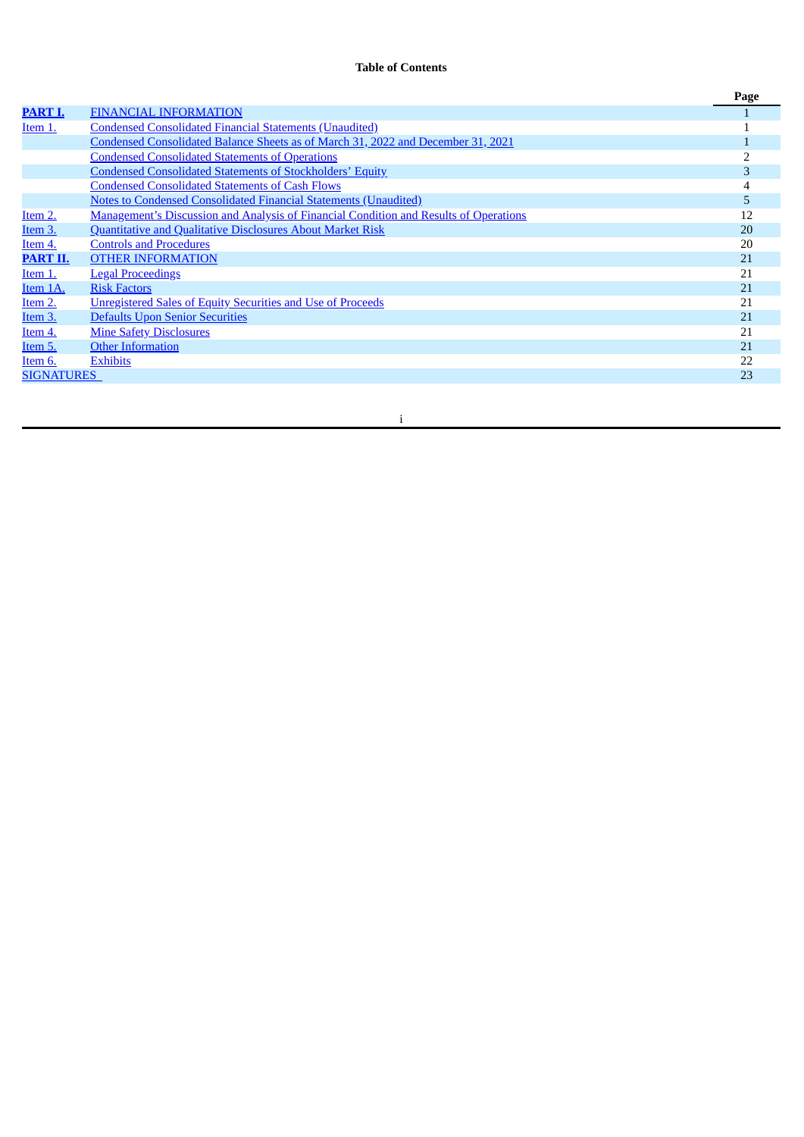# **Table of Contents**

|                   |                                                                                              | Page |
|-------------------|----------------------------------------------------------------------------------------------|------|
| PART I.           | <b>FINANCIAL INFORMATION</b>                                                                 |      |
| Item 1.           | <b>Condensed Consolidated Financial Statements (Unaudited)</b>                               |      |
|                   | Condensed Consolidated Balance Sheets as of March 31, 2022 and December 31, 2021             |      |
|                   | <b>Condensed Consolidated Statements of Operations</b>                                       |      |
|                   | <b>Condensed Consolidated Statements of Stockholders' Equity</b>                             | 3    |
|                   | <b>Condensed Consolidated Statements of Cash Flows</b>                                       |      |
|                   | <b>Notes to Condensed Consolidated Financial Statements (Unaudited)</b>                      | 5    |
| <u>Item 2.</u>    | <b>Management's Discussion and Analysis of Financial Condition and Results of Operations</b> | 12   |
| <u>Item 3.</u>    | Quantitative and Qualitative Disclosures About Market Risk                                   | 20   |
| Item 4.           | <b>Controls and Procedures</b>                                                               | 20   |
| PART II.          | <b>OTHER INFORMATION</b>                                                                     | 21   |
| Item 1.           | <b>Legal Proceedings</b>                                                                     | 21   |
| Item 1A.          | <b>Risk Factors</b>                                                                          | 21   |
| Item $2.$         | <b>Unregistered Sales of Equity Securities and Use of Proceeds</b>                           | 21   |
| Item 3.           | Defaults Upon Senior Securities                                                              | 21   |
| Item 4.           | <b>Mine Safety Disclosures</b>                                                               | 21   |
| Item 5.           | <b>Other Information</b>                                                                     | 21   |
| Item 6.           | <b>Exhibits</b>                                                                              | 22   |
| <b>SIGNATURES</b> |                                                                                              | 23   |
|                   |                                                                                              |      |

i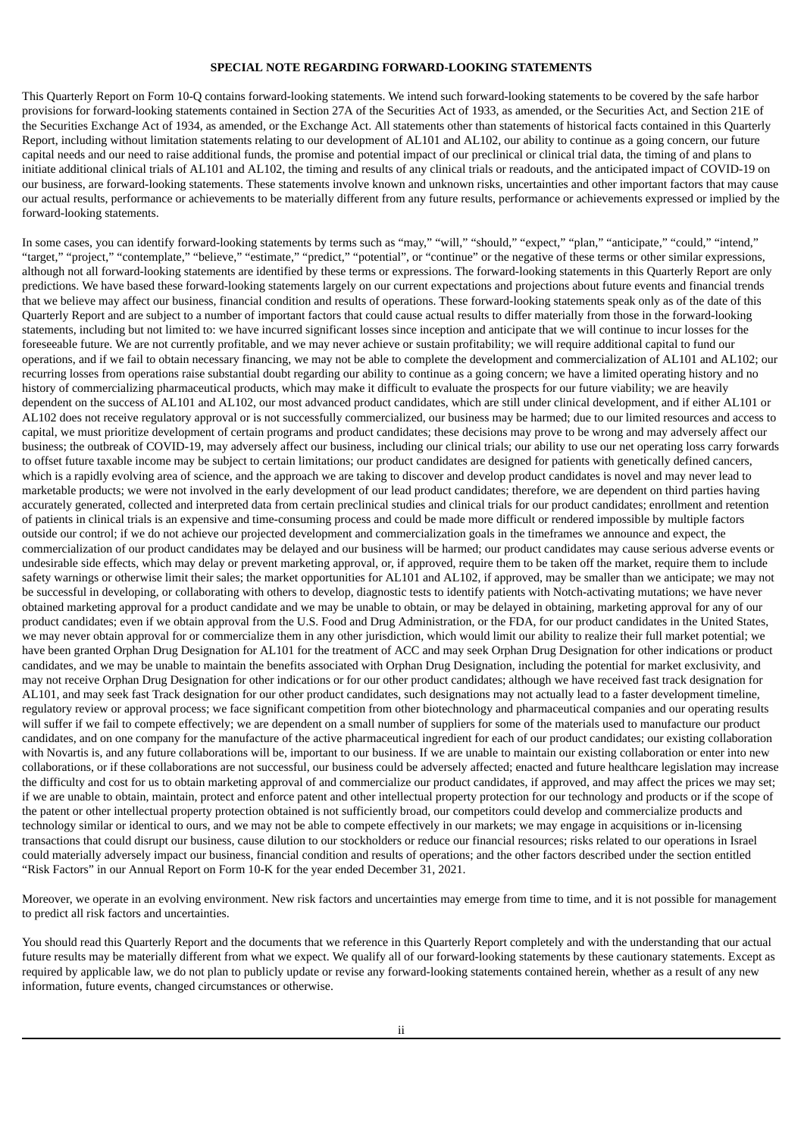### **SPECIAL NOTE REGARDING FORWARD-LOOKING STATEMENTS**

This Quarterly Report on Form 10-Q contains forward-looking statements. We intend such forward-looking statements to be covered by the safe harbor provisions for forward-looking statements contained in Section 27A of the Securities Act of 1933, as amended, or the Securities Act, and Section 21E of the Securities Exchange Act of 1934, as amended, or the Exchange Act. All statements other than statements of historical facts contained in this Quarterly Report, including without limitation statements relating to our development of AL101 and AL102, our ability to continue as a going concern, our future capital needs and our need to raise additional funds, the promise and potential impact of our preclinical or clinical trial data, the timing of and plans to initiate additional clinical trials of AL101 and AL102, the timing and results of any clinical trials or readouts, and the anticipated impact of COVID-19 on our business, are forward-looking statements. These statements involve known and unknown risks, uncertainties and other important factors that may cause our actual results, performance or achievements to be materially different from any future results, performance or achievements expressed or implied by the forward-looking statements.

In some cases, you can identify forward-looking statements by terms such as "may," "will," "should," "expect," "plan," "anticipate," "could," "intend," "target," "project," "contemplate," "believe," "estimate," "predict," "potential", or "continue" or the negative of these terms or other similar expressions, although not all forward-looking statements are identified by these terms or expressions. The forward-looking statements in this Quarterly Report are only predictions. We have based these forward-looking statements largely on our current expectations and projections about future events and financial trends that we believe may affect our business, financial condition and results of operations. These forward-looking statements speak only as of the date of this Quarterly Report and are subject to a number of important factors that could cause actual results to differ materially from those in the forward-looking statements, including but not limited to: we have incurred significant losses since inception and anticipate that we will continue to incur losses for the foreseeable future. We are not currently profitable, and we may never achieve or sustain profitability; we will require additional capital to fund our operations, and if we fail to obtain necessary financing, we may not be able to complete the development and commercialization of AL101 and AL102; our recurring losses from operations raise substantial doubt regarding our ability to continue as a going concern; we have a limited operating history and no history of commercializing pharmaceutical products, which may make it difficult to evaluate the prospects for our future viability; we are heavily dependent on the success of AL101 and AL102, our most advanced product candidates, which are still under clinical development, and if either AL101 or AL102 does not receive regulatory approval or is not successfully commercialized, our business may be harmed; due to our limited resources and access to capital, we must prioritize development of certain programs and product candidates; these decisions may prove to be wrong and may adversely affect our business; the outbreak of COVID-19, may adversely affect our business, including our clinical trials; our ability to use our net operating loss carry forwards to offset future taxable income may be subject to certain limitations; our product candidates are designed for patients with genetically defined cancers, which is a rapidly evolving area of science, and the approach we are taking to discover and develop product candidates is novel and may never lead to marketable products; we were not involved in the early development of our lead product candidates; therefore, we are dependent on third parties having accurately generated, collected and interpreted data from certain preclinical studies and clinical trials for our product candidates; enrollment and retention of patients in clinical trials is an expensive and time-consuming process and could be made more difficult or rendered impossible by multiple factors outside our control; if we do not achieve our projected development and commercialization goals in the timeframes we announce and expect, the commercialization of our product candidates may be delayed and our business will be harmed; our product candidates may cause serious adverse events or undesirable side effects, which may delay or prevent marketing approval, or, if approved, require them to be taken off the market, require them to include safety warnings or otherwise limit their sales; the market opportunities for AL101 and AL102, if approved, may be smaller than we anticipate; we may not be successful in developing, or collaborating with others to develop, diagnostic tests to identify patients with Notch-activating mutations; we have never obtained marketing approval for a product candidate and we may be unable to obtain, or may be delayed in obtaining, marketing approval for any of our product candidates; even if we obtain approval from the U.S. Food and Drug Administration, or the FDA, for our product candidates in the United States, we may never obtain approval for or commercialize them in any other jurisdiction, which would limit our ability to realize their full market potential; we have been granted Orphan Drug Designation for AL101 for the treatment of ACC and may seek Orphan Drug Designation for other indications or product candidates, and we may be unable to maintain the benefits associated with Orphan Drug Designation, including the potential for market exclusivity, and may not receive Orphan Drug Designation for other indications or for our other product candidates; although we have received fast track designation for AL101, and may seek fast Track designation for our other product candidates, such designations may not actually lead to a faster development timeline, regulatory review or approval process; we face significant competition from other biotechnology and pharmaceutical companies and our operating results will suffer if we fail to compete effectively; we are dependent on a small number of suppliers for some of the materials used to manufacture our product candidates, and on one company for the manufacture of the active pharmaceutical ingredient for each of our product candidates; our existing collaboration with Novartis is, and any future collaborations will be, important to our business. If we are unable to maintain our existing collaboration or enter into new collaborations, or if these collaborations are not successful, our business could be adversely affected; enacted and future healthcare legislation may increase the difficulty and cost for us to obtain marketing approval of and commercialize our product candidates, if approved, and may affect the prices we may set; if we are unable to obtain, maintain, protect and enforce patent and other intellectual property protection for our technology and products or if the scope of the patent or other intellectual property protection obtained is not sufficiently broad, our competitors could develop and commercialize products and technology similar or identical to ours, and we may not be able to compete effectively in our markets; we may engage in acquisitions or in-licensing transactions that could disrupt our business, cause dilution to our stockholders or reduce our financial resources; risks related to our operations in Israel could materially adversely impact our business, financial condition and results of operations; and the other factors described under the section entitled "Risk Factors" in our Annual Report on Form 10-K for the year ended December 31, 2021.

Moreover, we operate in an evolving environment. New risk factors and uncertainties may emerge from time to time, and it is not possible for management to predict all risk factors and uncertainties.

You should read this Quarterly Report and the documents that we reference in this Quarterly Report completely and with the understanding that our actual future results may be materially different from what we expect. We qualify all of our forward-looking statements by these cautionary statements. Except as required by applicable law, we do not plan to publicly update or revise any forward-looking statements contained herein, whether as a result of any new information, future events, changed circumstances or otherwise.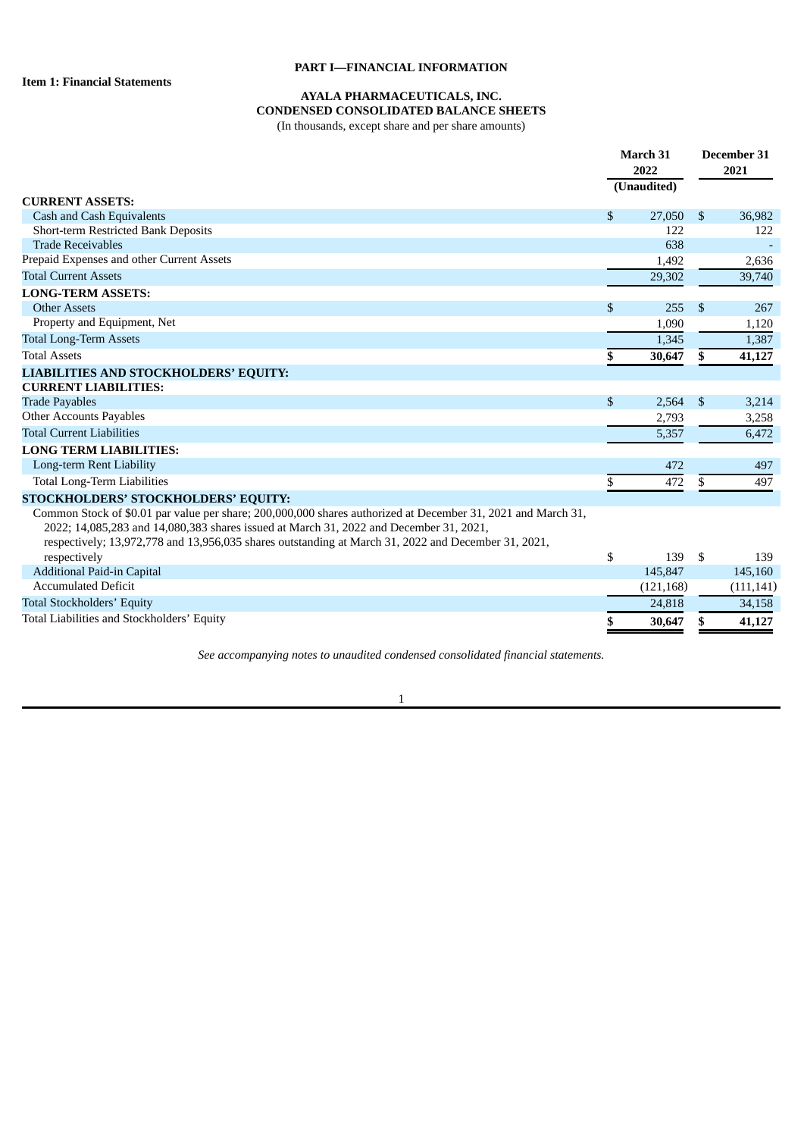# **PART I—FINANCIAL INFORMATION**

# **AYALA PHARMACEUTICALS, INC. CONDENSED CONSOLIDATED BALANCE SHEETS**

(In thousands, except share and per share amounts)

<span id="page-3-2"></span><span id="page-3-1"></span><span id="page-3-0"></span>

|                                                                                                                                                                                                                                                                                                               |              | March 31<br>2022 |     | December 31<br>2021 |
|---------------------------------------------------------------------------------------------------------------------------------------------------------------------------------------------------------------------------------------------------------------------------------------------------------------|--------------|------------------|-----|---------------------|
|                                                                                                                                                                                                                                                                                                               |              | (Unaudited)      |     |                     |
| <b>CURRENT ASSETS:</b><br><b>Cash and Cash Equivalents</b>                                                                                                                                                                                                                                                    | \$           | 27,050           | \$  | 36,982              |
| Short-term Restricted Bank Deposits                                                                                                                                                                                                                                                                           |              | 122              |     | 122                 |
| <b>Trade Receivables</b>                                                                                                                                                                                                                                                                                      |              | 638              |     |                     |
| Prepaid Expenses and other Current Assets                                                                                                                                                                                                                                                                     |              | 1,492            |     | 2,636               |
| <b>Total Current Assets</b>                                                                                                                                                                                                                                                                                   |              | 29,302           |     | 39,740              |
| <b>LONG-TERM ASSETS:</b>                                                                                                                                                                                                                                                                                      |              |                  |     |                     |
| <b>Other Assets</b>                                                                                                                                                                                                                                                                                           | $\mathbb{S}$ | 255              | \$  | 267                 |
| Property and Equipment, Net                                                                                                                                                                                                                                                                                   |              | 1,090            |     | 1,120               |
| <b>Total Long-Term Assets</b>                                                                                                                                                                                                                                                                                 |              | 1,345            |     | 1,387               |
| <b>Total Assets</b>                                                                                                                                                                                                                                                                                           | \$           | 30,647           | \$  | 41,127              |
| <b>LIABILITIES AND STOCKHOLDERS' EQUITY:</b>                                                                                                                                                                                                                                                                  |              |                  |     |                     |
| <b>CURRENT LIABILITIES:</b>                                                                                                                                                                                                                                                                                   |              |                  |     |                     |
| <b>Trade Payables</b>                                                                                                                                                                                                                                                                                         | \$           | 2,564            | \$  | 3,214               |
| <b>Other Accounts Payables</b>                                                                                                                                                                                                                                                                                |              | 2,793            |     | 3,258               |
| <b>Total Current Liabilities</b>                                                                                                                                                                                                                                                                              |              | 5,357            |     | 6,472               |
| <b>LONG TERM LIABILITIES:</b>                                                                                                                                                                                                                                                                                 |              |                  |     |                     |
| Long-term Rent Liability                                                                                                                                                                                                                                                                                      |              | 472              |     | 497                 |
| <b>Total Long-Term Liabilities</b>                                                                                                                                                                                                                                                                            | \$           | 472              | \$  | 497                 |
| STOCKHOLDERS' STOCKHOLDERS' EQUITY:                                                                                                                                                                                                                                                                           |              |                  |     |                     |
| Common Stock of \$0.01 par value per share; 200,000,000 shares authorized at December 31, 2021 and March 31,<br>2022; 14,085,283 and 14,080,383 shares issued at March 31, 2022 and December 31, 2021,<br>respectively; 13,972,778 and 13,956,035 shares outstanding at March 31, 2022 and December 31, 2021, |              |                  |     |                     |
| respectively                                                                                                                                                                                                                                                                                                  | \$           | 139              | \$. | 139                 |
| <b>Additional Paid-in Capital</b>                                                                                                                                                                                                                                                                             |              | 145,847          |     | 145,160             |
| <b>Accumulated Deficit</b>                                                                                                                                                                                                                                                                                    |              | (121, 168)       |     | (111, 141)          |
| <b>Total Stockholders' Equity</b>                                                                                                                                                                                                                                                                             |              | 24,818           |     | 34,158              |
| Total Liabilities and Stockholders' Equity                                                                                                                                                                                                                                                                    | \$           | 30,647           | \$  | 41,127              |

*See accompanying notes to unaudited condensed consolidated financial statements.*

1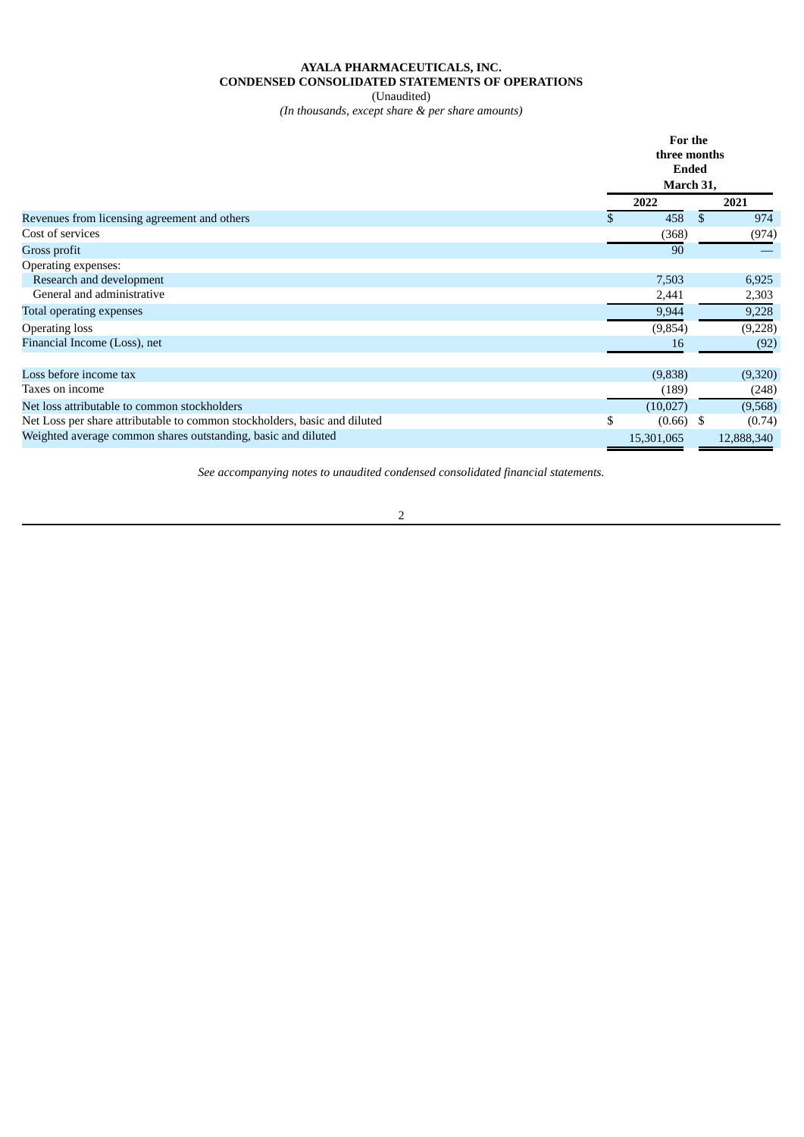# **AYALA PHARMACEUTICALS, INC. CONDENSED CONSOLIDATED STATEMENTS OF OPERATIONS** (Unaudited)

*(In thousands, except share & per share amounts)*

<span id="page-4-0"></span>

|                                                                           |            | For the<br>three months<br><b>Ended</b><br>March 31, |            |
|---------------------------------------------------------------------------|------------|------------------------------------------------------|------------|
|                                                                           | 2022       |                                                      | 2021       |
| Revenues from licensing agreement and others                              | SS.        | 458                                                  | 974        |
| Cost of services                                                          |            | (368)                                                | (974)      |
| Gross profit                                                              |            | 90                                                   |            |
| Operating expenses:                                                       |            |                                                      |            |
| Research and development                                                  |            | 7,503                                                | 6,925      |
| General and administrative                                                |            | 2,441                                                | 2,303      |
| <b>Total operating expenses</b>                                           |            | 9,944                                                | 9,228      |
| <b>Operating loss</b>                                                     |            | (9,854)                                              | (9,228)    |
| Financial Income (Loss), net                                              |            | 16                                                   | (92)       |
|                                                                           |            |                                                      |            |
| Loss before income tax                                                    |            | (9,838)                                              | (9,320)    |
| Taxes on income                                                           |            | (189)                                                | (248)      |
| Net loss attributable to common stockholders                              |            | (10,027)                                             | (9,568)    |
| Net Loss per share attributable to common stockholders, basic and diluted | \$         | $(0.66)$ \$                                          | (0.74)     |
| Weighted average common shares outstanding, basic and diluted             | 15,301,065 |                                                      | 12,888,340 |

*See accompanying notes to unaudited condensed consolidated financial statements.*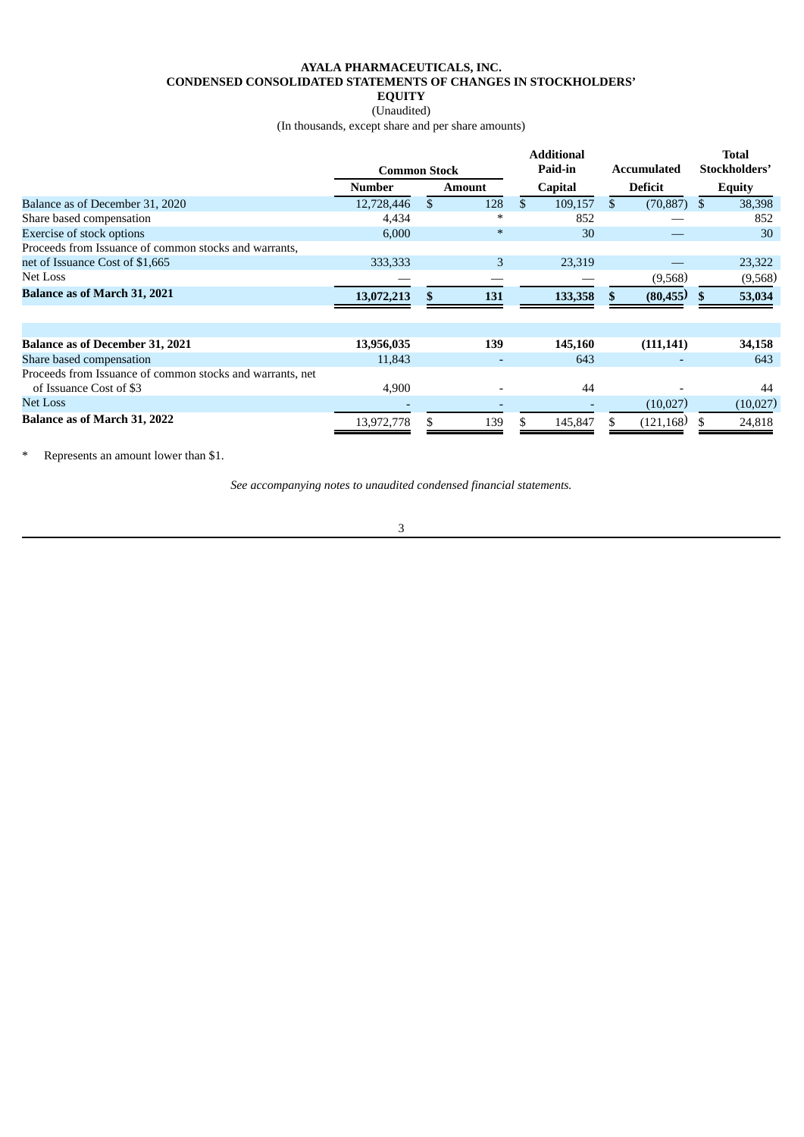# **AYALA PHARMACEUTICALS, INC. CONDENSED CONSOLIDATED STATEMENTS OF CHANGES IN STOCKHOLDERS' EQUITY**

(Unaudited)

(In thousands, except share and per share amounts)

<span id="page-5-0"></span>

|                                                           | <b>Common Stock</b> |                          | <b>Additional</b><br>Paid-in | Accumulated     |     | <b>Total</b><br>Stockholders' |
|-----------------------------------------------------------|---------------------|--------------------------|------------------------------|-----------------|-----|-------------------------------|
|                                                           | Number              | <b>Amount</b>            | <b>Capital</b>               | <b>Deficit</b>  |     | <b>Equity</b>                 |
| Balance as of December 31, 2020                           | 12,728,446          | \$<br>128                | \$<br>109,157                | \$<br>(70, 887) | \$. | 38,398                        |
| Share based compensation                                  | 4,434               | $\ast$                   | 852                          |                 |     | 852                           |
| <b>Exercise of stock options</b>                          | 6,000               | $\ast$                   | 30                           |                 |     | 30                            |
| Proceeds from Issuance of common stocks and warrants,     |                     |                          |                              |                 |     |                               |
| net of Issuance Cost of \$1,665                           | 333,333             | 3                        | 23,319                       |                 |     | 23,322                        |
| Net Loss                                                  |                     |                          |                              | (9,568)         |     | (9,568)                       |
| <b>Balance as of March 31, 2021</b>                       | 13,072,213          | 131                      | 133,358                      | \$<br>(80, 455) |     | 53,034                        |
|                                                           |                     |                          |                              |                 |     |                               |
| <b>Balance as of December 31, 2021</b>                    | 13,956,035          | 139                      | 145,160                      | (111, 141)      |     | 34,158                        |
| Share based compensation                                  | 11,843              | $\overline{\phantom{0}}$ | 643                          |                 |     | 643                           |
| Proceeds from Issuance of common stocks and warrants, net |                     |                          |                              |                 |     |                               |
| of Issuance Cost of \$3                                   | 4,900               |                          | 44                           |                 |     | 44                            |
| Net Loss                                                  |                     |                          |                              | (10,027)        |     | (10,027)                      |
| <b>Balance as of March 31, 2022</b>                       | 13,972,778          | 139                      | 145,847                      | (121, 168)      |     | 24,818                        |

\* Represents an amount lower than \$1.

*See accompanying notes to unaudited condensed financial statements.*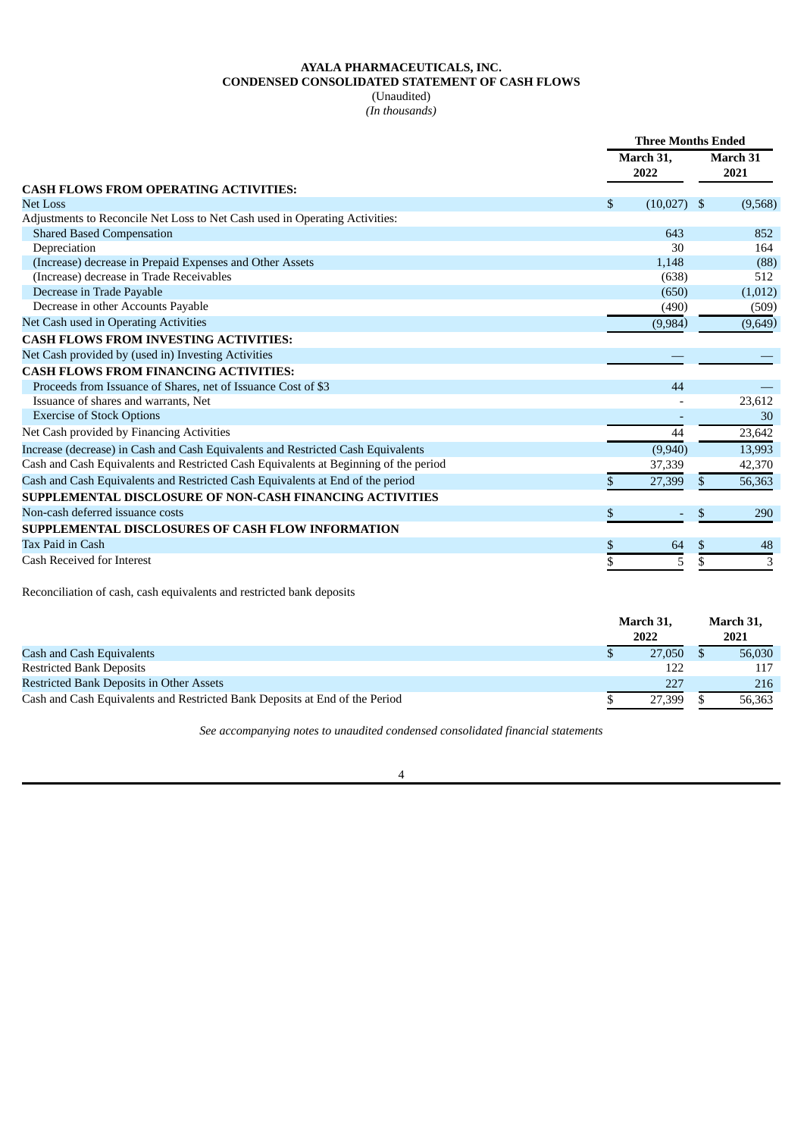# **AYALA PHARMACEUTICALS, INC. CONDENSED CONSOLIDATED STATEMENT OF CASH FLOWS** (Unaudited)

*(In thousands)*

<span id="page-6-0"></span>

|                                                                                      |     | <b>Three Months Ended</b> |    |                  |  |  |
|--------------------------------------------------------------------------------------|-----|---------------------------|----|------------------|--|--|
|                                                                                      |     | March 31.<br>2022         |    | March 31<br>2021 |  |  |
| <b>CASH FLOWS FROM OPERATING ACTIVITIES:</b>                                         |     |                           |    |                  |  |  |
| <b>Net Loss</b>                                                                      | \$. | $(10,027)$ \$             |    | (9,568)          |  |  |
| Adjustments to Reconcile Net Loss to Net Cash used in Operating Activities:          |     |                           |    |                  |  |  |
| <b>Shared Based Compensation</b>                                                     |     | 643                       |    | 852              |  |  |
| Depreciation                                                                         |     | 30                        |    | 164              |  |  |
| (Increase) decrease in Prepaid Expenses and Other Assets                             |     | 1,148                     |    | (88)             |  |  |
| (Increase) decrease in Trade Receivables                                             |     | (638)                     |    | 512              |  |  |
| Decrease in Trade Payable                                                            |     | (650)                     |    | (1,012)          |  |  |
| Decrease in other Accounts Payable                                                   |     | (490)                     |    | (509)            |  |  |
| Net Cash used in Operating Activities                                                |     | (9,984)                   |    | (9,649)          |  |  |
| <b>CASH FLOWS FROM INVESTING ACTIVITIES:</b>                                         |     |                           |    |                  |  |  |
| Net Cash provided by (used in) Investing Activities                                  |     |                           |    |                  |  |  |
| <b>CASH FLOWS FROM FINANCING ACTIVITIES:</b>                                         |     |                           |    |                  |  |  |
| Proceeds from Issuance of Shares, net of Issuance Cost of \$3                        |     | 44                        |    |                  |  |  |
| Issuance of shares and warrants, Net                                                 |     |                           |    | 23,612           |  |  |
| <b>Exercise of Stock Options</b>                                                     |     |                           |    | 30               |  |  |
| Net Cash provided by Financing Activities                                            |     | 44                        |    | 23,642           |  |  |
| Increase (decrease) in Cash and Cash Equivalents and Restricted Cash Equivalents     |     | (9,940)                   |    | 13,993           |  |  |
| Cash and Cash Equivalents and Restricted Cash Equivalents at Beginning of the period |     | 37,339                    |    | 42,370           |  |  |
| Cash and Cash Equivalents and Restricted Cash Equivalents at End of the period       | \$  | 27,399                    | \$ | 56,363           |  |  |
| SUPPLEMENTAL DISCLOSURE OF NON-CASH FINANCING ACTIVITIES                             |     |                           |    |                  |  |  |
| Non-cash deferred issuance costs                                                     | \$  | ٠                         | \$ | 290              |  |  |
| SUPPLEMENTAL DISCLOSURES OF CASH FLOW INFORMATION                                    |     |                           |    |                  |  |  |
| Tax Paid in Cash                                                                     | \$  | 64                        | \$ | 48               |  |  |
| Cash Received for Interest                                                           | \$  | 5                         | \$ | 3                |  |  |

Reconciliation of cash, cash equivalents and restricted bank deposits

|                                                                             | March 31,<br>2022 | March 31,<br>2021 |
|-----------------------------------------------------------------------------|-------------------|-------------------|
|                                                                             |                   |                   |
| Cash and Cash Equivalents                                                   | 27,050            | 56,030            |
| <b>Restricted Bank Deposits</b>                                             | 122               | 117               |
| Restricted Bank Deposits in Other Assets                                    | 227               | 216               |
| Cash and Cash Equivalents and Restricted Bank Deposits at End of the Period | 27,399            | 56,363            |

*See accompanying notes to unaudited condensed consolidated financial statements*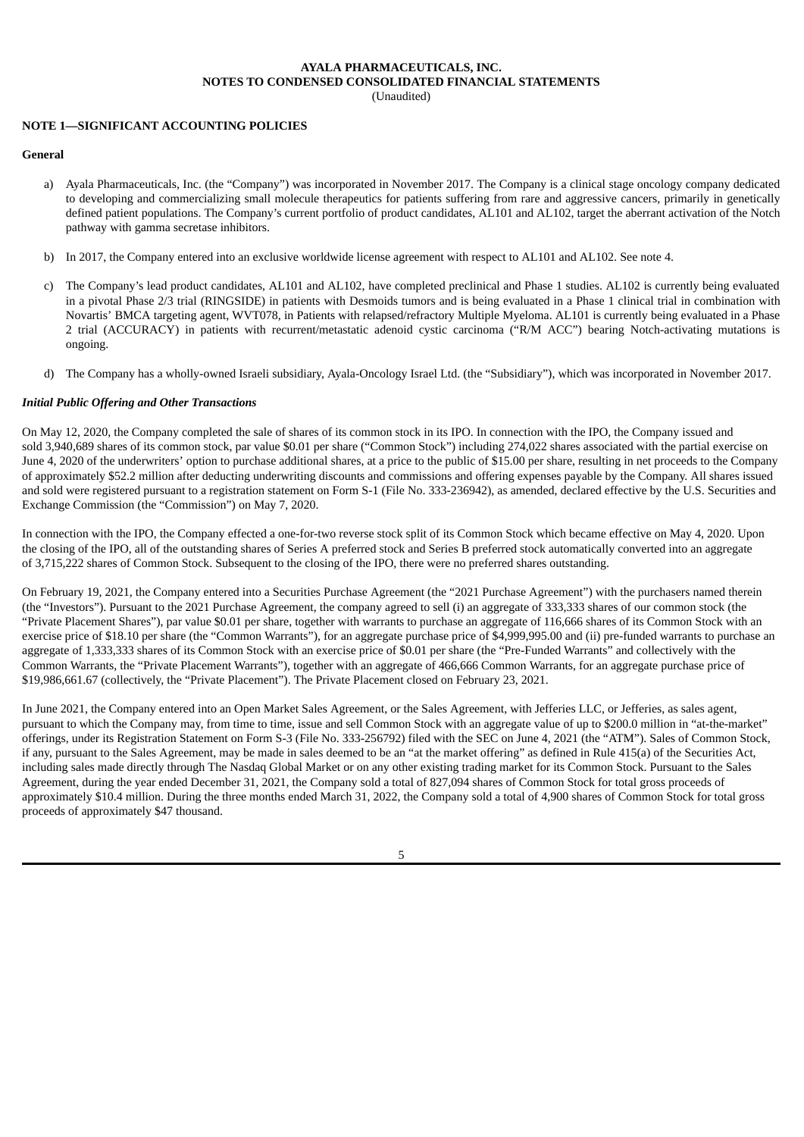# <span id="page-7-0"></span>**NOTE 1—SIGNIFICANT ACCOUNTING POLICIES**

#### **General**

- a) Ayala Pharmaceuticals, Inc. (the "Company") was incorporated in November 2017. The Company is a clinical stage oncology company dedicated to developing and commercializing small molecule therapeutics for patients suffering from rare and aggressive cancers, primarily in genetically defined patient populations. The Company's current portfolio of product candidates, AL101 and AL102, target the aberrant activation of the Notch pathway with gamma secretase inhibitors.
- b) In 2017, the Company entered into an exclusive worldwide license agreement with respect to AL101 and AL102. See note 4.
- c) The Company's lead product candidates, AL101 and AL102, have completed preclinical and Phase 1 studies. AL102 is currently being evaluated in a pivotal Phase 2/3 trial (RINGSIDE) in patients with Desmoids tumors and is being evaluated in a Phase 1 clinical trial in combination with Novartis' BMCA targeting agent, WVT078, in Patients with relapsed/refractory Multiple Myeloma. AL101 is currently being evaluated in a Phase 2 trial (ACCURACY) in patients with recurrent/metastatic adenoid cystic carcinoma ("R/M ACC") bearing Notch-activating mutations is ongoing.
- d) The Company has a wholly-owned Israeli subsidiary, Ayala-Oncology Israel Ltd. (the "Subsidiary"), which was incorporated in November 2017.

### *Initial Public Offering and Other Transactions*

On May 12, 2020, the Company completed the sale of shares of its common stock in its IPO. In connection with the IPO, the Company issued and sold 3,940,689 shares of its common stock, par value \$0.01 per share ("Common Stock") including 274,022 shares associated with the partial exercise on June 4, 2020 of the underwriters' option to purchase additional shares, at a price to the public of \$15.00 per share, resulting in net proceeds to the Company of approximately \$52.2 million after deducting underwriting discounts and commissions and offering expenses payable by the Company. All shares issued and sold were registered pursuant to a registration statement on Form S-1 (File No. 333-236942), as amended, declared effective by the U.S. Securities and Exchange Commission (the "Commission") on May 7, 2020.

In connection with the IPO, the Company effected a one-for-two reverse stock split of its Common Stock which became effective on May 4, 2020. Upon the closing of the IPO, all of the outstanding shares of Series A preferred stock and Series B preferred stock automatically converted into an aggregate of 3,715,222 shares of Common Stock. Subsequent to the closing of the IPO, there were no preferred shares outstanding.

On February 19, 2021, the Company entered into a Securities Purchase Agreement (the "2021 Purchase Agreement") with the purchasers named therein (the "Investors"). Pursuant to the 2021 Purchase Agreement, the company agreed to sell (i) an aggregate of 333,333 shares of our common stock (the "Private Placement Shares"), par value \$0.01 per share, together with warrants to purchase an aggregate of 116,666 shares of its Common Stock with an exercise price of \$18.10 per share (the "Common Warrants"), for an aggregate purchase price of \$4,999,995.00 and (ii) pre-funded warrants to purchase an aggregate of 1,333,333 shares of its Common Stock with an exercise price of \$0.01 per share (the "Pre-Funded Warrants" and collectively with the Common Warrants, the "Private Placement Warrants"), together with an aggregate of 466,666 Common Warrants, for an aggregate purchase price of \$19,986,661.67 (collectively, the "Private Placement"). The Private Placement closed on February 23, 2021.

In June 2021, the Company entered into an Open Market Sales Agreement, or the Sales Agreement, with Jefferies LLC, or Jefferies, as sales agent, pursuant to which the Company may, from time to time, issue and sell Common Stock with an aggregate value of up to \$200.0 million in "at-the-market" offerings, under its Registration Statement on Form S-3 (File No. 333-256792) filed with the SEC on June 4, 2021 (the "ATM"). Sales of Common Stock, if any, pursuant to the Sales Agreement, may be made in sales deemed to be an "at the market offering" as defined in Rule 415(a) of the Securities Act, including sales made directly through The Nasdaq Global Market or on any other existing trading market for its Common Stock. Pursuant to the Sales Agreement, during the year ended December 31, 2021, the Company sold a total of 827,094 shares of Common Stock for total gross proceeds of approximately \$10.4 million. During the three months ended March 31, 2022, the Company sold a total of 4,900 shares of Common Stock for total gross proceeds of approximately \$47 thousand.

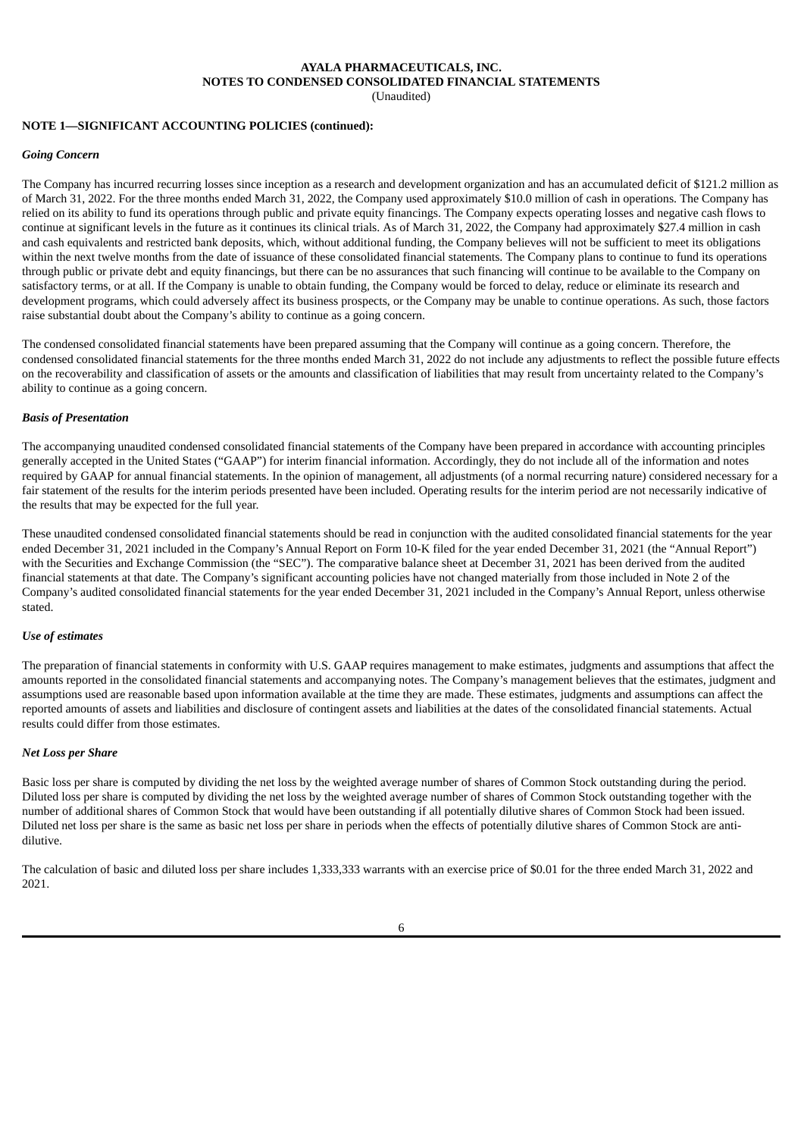# **NOTE 1—SIGNIFICANT ACCOUNTING POLICIES (continued):**

#### *Going Concern*

The Company has incurred recurring losses since inception as a research and development organization and has an accumulated deficit of \$121.2 million as of March 31, 2022. For the three months ended March 31, 2022, the Company used approximately \$10.0 million of cash in operations. The Company has relied on its ability to fund its operations through public and private equity financings. The Company expects operating losses and negative cash flows to continue at significant levels in the future as it continues its clinical trials. As of March 31, 2022, the Company had approximately \$27.4 million in cash and cash equivalents and restricted bank deposits, which, without additional funding, the Company believes will not be sufficient to meet its obligations within the next twelve months from the date of issuance of these consolidated financial statements. The Company plans to continue to fund its operations through public or private debt and equity financings, but there can be no assurances that such financing will continue to be available to the Company on satisfactory terms, or at all. If the Company is unable to obtain funding, the Company would be forced to delay, reduce or eliminate its research and development programs, which could adversely affect its business prospects, or the Company may be unable to continue operations. As such, those factors raise substantial doubt about the Company's ability to continue as a going concern.

The condensed consolidated financial statements have been prepared assuming that the Company will continue as a going concern. Therefore, the condensed consolidated financial statements for the three months ended March 31, 2022 do not include any adjustments to reflect the possible future effects on the recoverability and classification of assets or the amounts and classification of liabilities that may result from uncertainty related to the Company's ability to continue as a going concern.

### *Basis of Presentation*

The accompanying unaudited condensed consolidated financial statements of the Company have been prepared in accordance with accounting principles generally accepted in the United States ("GAAP") for interim financial information. Accordingly, they do not include all of the information and notes required by GAAP for annual financial statements. In the opinion of management, all adjustments (of a normal recurring nature) considered necessary for a fair statement of the results for the interim periods presented have been included. Operating results for the interim period are not necessarily indicative of the results that may be expected for the full year.

These unaudited condensed consolidated financial statements should be read in conjunction with the audited consolidated financial statements for the year ended December 31, 2021 included in the Company's Annual Report on Form 10-K filed for the year ended December 31, 2021 (the "Annual Report") with the Securities and Exchange Commission (the "SEC"). The comparative balance sheet at December 31, 2021 has been derived from the audited financial statements at that date. The Company's significant accounting policies have not changed materially from those included in Note 2 of the Company's audited consolidated financial statements for the year ended December 31, 2021 included in the Company's Annual Report, unless otherwise stated.

#### *Use of estimates*

The preparation of financial statements in conformity with U.S. GAAP requires management to make estimates, judgments and assumptions that affect the amounts reported in the consolidated financial statements and accompanying notes. The Company's management believes that the estimates, judgment and assumptions used are reasonable based upon information available at the time they are made. These estimates, judgments and assumptions can affect the reported amounts of assets and liabilities and disclosure of contingent assets and liabilities at the dates of the consolidated financial statements. Actual results could differ from those estimates.

# *Net Loss per Share*

Basic loss per share is computed by dividing the net loss by the weighted average number of shares of Common Stock outstanding during the period. Diluted loss per share is computed by dividing the net loss by the weighted average number of shares of Common Stock outstanding together with the number of additional shares of Common Stock that would have been outstanding if all potentially dilutive shares of Common Stock had been issued. Diluted net loss per share is the same as basic net loss per share in periods when the effects of potentially dilutive shares of Common Stock are antidilutive.

The calculation of basic and diluted loss per share includes 1,333,333 warrants with an exercise price of \$0.01 for the three ended March 31, 2022 and 2021.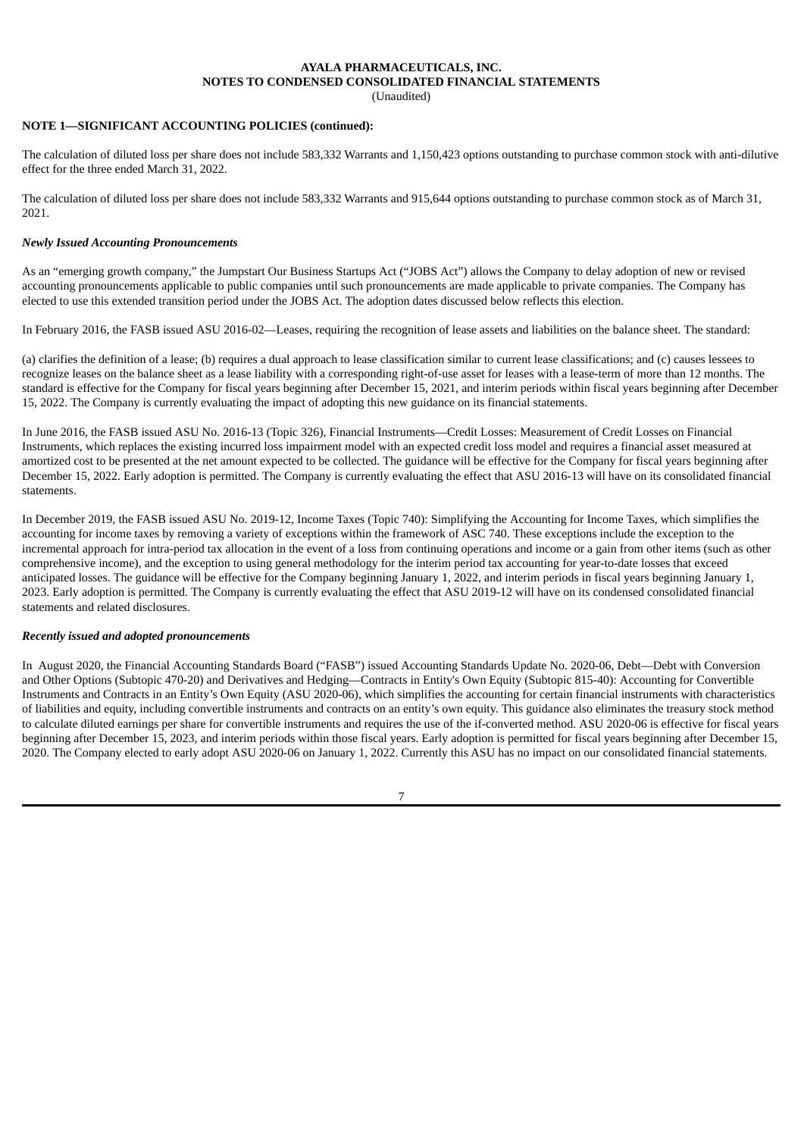(Unaudited)

# **NOTE 1—SIGNIFICANT ACCOUNTING POLICIES (continued):**

The calculation of diluted loss per share does not include 583,332 Warrants and 1,150,423 options outstanding to purchase common stock with anti-dilutive effect for the three ended March 31, 2022.

The calculation of diluted loss per share does not include 583,332 Warrants and 915,644 options outstanding to purchase common stock as of March 31, 2021.

#### *Newly Issued Accounting Pronouncements*

As an "emerging growth company," the Jumpstart Our Business Startups Act ("JOBS Act") allows the Company to delay adoption of new or revised accounting pronouncements applicable to public companies until such pronouncements are made applicable to private companies. The Company has elected to use this extended transition period under the JOBS Act. The adoption dates discussed below reflects this election.

In February 2016, the FASB issued ASU 2016-02—Leases, requiring the recognition of lease assets and liabilities on the balance sheet. The standard:

(a) clarifies the definition of a lease; (b) requires a dual approach to lease classification similar to current lease classifications; and (c) causes lessees to recognize leases on the balance sheet as a lease liability with a corresponding right-of-use asset for leases with a lease-term of more than 12 months. The standard is effective for the Company for fiscal years beginning after December 15, 2021, and interim periods within fiscal years beginning after December 15, 2022. The Company is currently evaluating the impact of adopting this new guidance on its financial statements.

In June 2016, the FASB issued ASU No. 2016-13 (Topic 326), Financial Instruments—Credit Losses: Measurement of Credit Losses on Financial Instruments, which replaces the existing incurred loss impairment model with an expected credit loss model and requires a financial asset measured at amortized cost to be presented at the net amount expected to be collected. The guidance will be effective for the Company for fiscal years beginning after December 15, 2022. Early adoption is permitted. The Company is currently evaluating the effect that ASU 2016-13 will have on its consolidated financial statements.

In December 2019, the FASB issued ASU No. 2019-12, Income Taxes (Topic 740): Simplifying the Accounting for Income Taxes, which simplifies the accounting for income taxes by removing a variety of exceptions within the framework of ASC 740. These exceptions include the exception to the incremental approach for intra-period tax allocation in the event of a loss from continuing operations and income or a gain from other items (such as other comprehensive income), and the exception to using general methodology for the interim period tax accounting for year-to-date losses that exceed anticipated losses. The guidance will be effective for the Company beginning January 1, 2022, and interim periods in fiscal years beginning January 1, 2023. Early adoption is permitted. The Company is currently evaluating the effect that ASU 2019-12 will have on its condensed consolidated financial statements and related disclosures.

#### *Recently issued and adopted pronouncements*

In August 2020, the Financial Accounting Standards Board ("FASB") issued Accounting Standards Update No. 2020-06, Debt—Debt with Conversion and Other Options (Subtopic 470-20) and Derivatives and Hedging—Contracts in Entity's Own Equity (Subtopic 815-40): Accounting for Convertible Instruments and Contracts in an Entity's Own Equity (ASU 2020-06), which simplifies the accounting for certain financial instruments with characteristics of liabilities and equity, including convertible instruments and contracts on an entity's own equity. This guidance also eliminates the treasury stock method to calculate diluted earnings per share for convertible instruments and requires the use of the if-converted method. ASU 2020-06 is effective for fiscal years beginning after December 15, 2023, and interim periods within those fiscal years. Early adoption is permitted for fiscal years beginning after December 15, 2020. The Company elected to early adopt ASU 2020-06 on January 1, 2022. Currently this ASU has no impact on our consolidated financial statements.

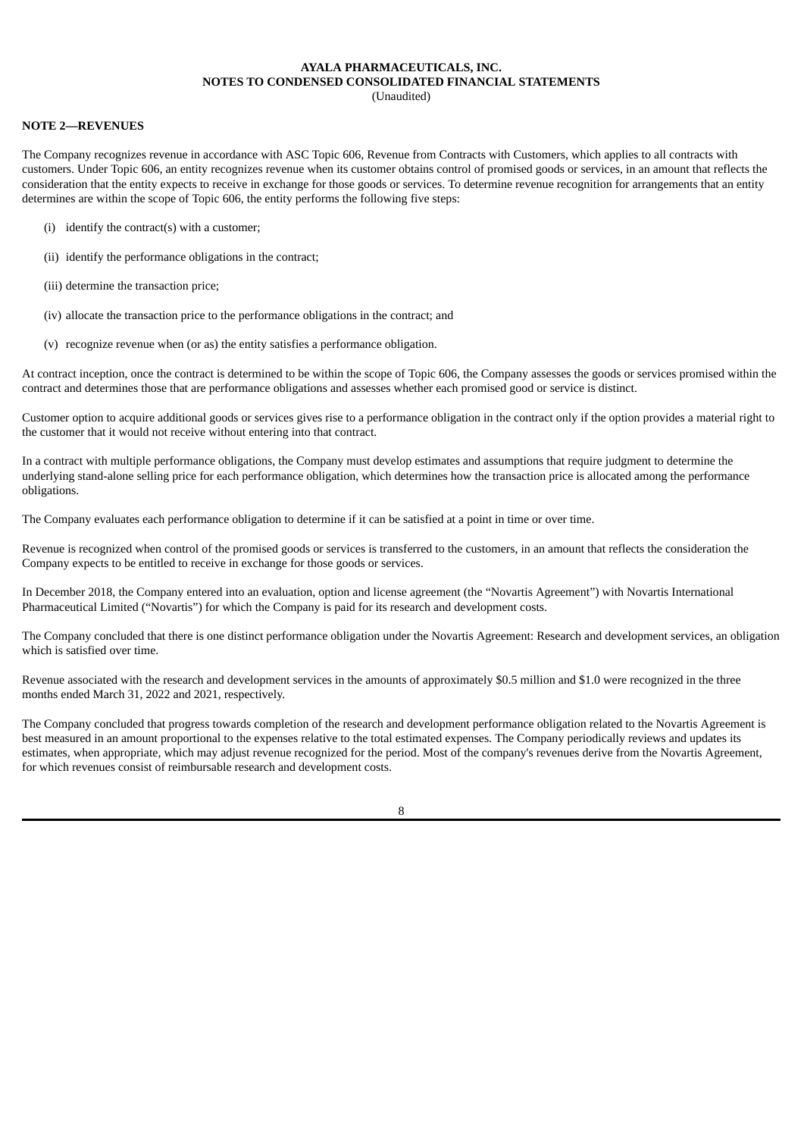# (Unaudited)

# **NOTE 2—REVENUES**

The Company recognizes revenue in accordance with ASC Topic 606, Revenue from Contracts with Customers, which applies to all contracts with customers. Under Topic 606, an entity recognizes revenue when its customer obtains control of promised goods or services, in an amount that reflects the consideration that the entity expects to receive in exchange for those goods or services. To determine revenue recognition for arrangements that an entity determines are within the scope of Topic 606, the entity performs the following five steps:

- (i) identify the contract(s) with a customer;
- (ii) identify the performance obligations in the contract;
- (iii) determine the transaction price;
- (iv) allocate the transaction price to the performance obligations in the contract; and
- (v) recognize revenue when (or as) the entity satisfies a performance obligation.

At contract inception, once the contract is determined to be within the scope of Topic 606, the Company assesses the goods or services promised within the contract and determines those that are performance obligations and assesses whether each promised good or service is distinct.

Customer option to acquire additional goods or services gives rise to a performance obligation in the contract only if the option provides a material right to the customer that it would not receive without entering into that contract.

In a contract with multiple performance obligations, the Company must develop estimates and assumptions that require judgment to determine the underlying stand-alone selling price for each performance obligation, which determines how the transaction price is allocated among the performance obligations.

The Company evaluates each performance obligation to determine if it can be satisfied at a point in time or over time.

Revenue is recognized when control of the promised goods or services is transferred to the customers, in an amount that reflects the consideration the Company expects to be entitled to receive in exchange for those goods or services.

In December 2018, the Company entered into an evaluation, option and license agreement (the "Novartis Agreement") with Novartis International Pharmaceutical Limited ("Novartis") for which the Company is paid for its research and development costs.

The Company concluded that there is one distinct performance obligation under the Novartis Agreement: Research and development services, an obligation which is satisfied over time.

Revenue associated with the research and development services in the amounts of approximately \$0.5 million and \$1.0 were recognized in the three months ended March 31, 2022 and 2021, respectively.

The Company concluded that progress towards completion of the research and development performance obligation related to the Novartis Agreement is best measured in an amount proportional to the expenses relative to the total estimated expenses. The Company periodically reviews and updates its estimates, when appropriate, which may adjust revenue recognized for the period. Most of the company's revenues derive from the Novartis Agreement, for which revenues consist of reimbursable research and development costs.

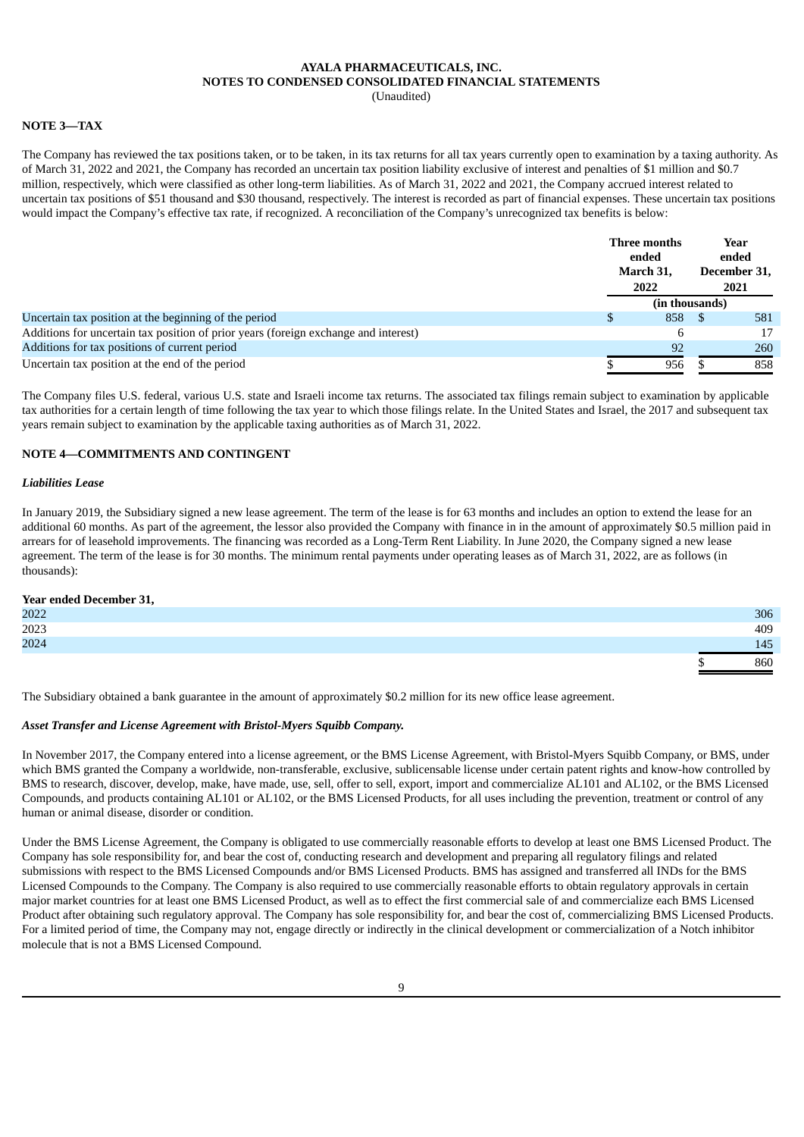# (Unaudited)

# **NOTE 3—TAX**

The Company has reviewed the tax positions taken, or to be taken, in its tax returns for all tax years currently open to examination by a taxing authority. As of March 31, 2022 and 2021, the Company has recorded an uncertain tax position liability exclusive of interest and penalties of \$1 million and \$0.7 million, respectively, which were classified as other long-term liabilities. As of March 31, 2022 and 2021, the Company accrued interest related to uncertain tax positions of \$51 thousand and \$30 thousand, respectively. The interest is recorded as part of financial expenses. These uncertain tax positions would impact the Company's effective tax rate, if recognized. A reconciliation of the Company's unrecognized tax benefits is below:

|                                                                                     |              | Three months<br>ended<br>March 31,<br>2022 | Year<br>ended<br>December 31,<br>2021 |
|-------------------------------------------------------------------------------------|--------------|--------------------------------------------|---------------------------------------|
|                                                                                     |              | (in thousands)                             |                                       |
| Uncertain tax position at the beginning of the period                               | <sup>S</sup> | 858                                        | 581                                   |
| Additions for uncertain tax position of prior years (foreign exchange and interest) |              |                                            | 17                                    |
| Additions for tax positions of current period                                       |              | 92                                         | 260                                   |
| Uncertain tax position at the end of the period                                     |              | 956                                        | 858                                   |

The Company files U.S. federal, various U.S. state and Israeli income tax returns. The associated tax filings remain subject to examination by applicable tax authorities for a certain length of time following the tax year to which those filings relate. In the United States and Israel, the 2017 and subsequent tax years remain subject to examination by the applicable taxing authorities as of March 31, 2022.

# **NOTE 4—COMMITMENTS AND CONTINGENT**

#### *Liabilities Lease*

In January 2019, the Subsidiary signed a new lease agreement. The term of the lease is for 63 months and includes an option to extend the lease for an additional 60 months. As part of the agreement, the lessor also provided the Company with finance in in the amount of approximately \$0.5 million paid in arrears for of leasehold improvements. The financing was recorded as a Long-Term Rent Liability. In June 2020, the Company signed a new lease agreement. The term of the lease is for 30 months. The minimum rental payments under operating leases as of March 31, 2022, are as follows (in thousands):

# **Year ended December 31,**

| 2022 | 306            |
|------|----------------|
| 2023 | 409            |
| 2024 | $\overline{a}$ |
|      | 360            |

The Subsidiary obtained a bank guarantee in the amount of approximately \$0.2 million for its new office lease agreement.

#### *Asset Transfer and License Agreement with Bristol-Myers Squibb Company.*

In November 2017, the Company entered into a license agreement, or the BMS License Agreement, with Bristol-Myers Squibb Company, or BMS, under which BMS granted the Company a worldwide, non-transferable, exclusive, sublicensable license under certain patent rights and know-how controlled by BMS to research, discover, develop, make, have made, use, sell, offer to sell, export, import and commercialize AL101 and AL102, or the BMS Licensed Compounds, and products containing AL101 or AL102, or the BMS Licensed Products, for all uses including the prevention, treatment or control of any human or animal disease, disorder or condition.

Under the BMS License Agreement, the Company is obligated to use commercially reasonable efforts to develop at least one BMS Licensed Product. The Company has sole responsibility for, and bear the cost of, conducting research and development and preparing all regulatory filings and related submissions with respect to the BMS Licensed Compounds and/or BMS Licensed Products. BMS has assigned and transferred all INDs for the BMS Licensed Compounds to the Company. The Company is also required to use commercially reasonable efforts to obtain regulatory approvals in certain major market countries for at least one BMS Licensed Product, as well as to effect the first commercial sale of and commercialize each BMS Licensed Product after obtaining such regulatory approval. The Company has sole responsibility for, and bear the cost of, commercializing BMS Licensed Products. For a limited period of time, the Company may not, engage directly or indirectly in the clinical development or commercialization of a Notch inhibitor molecule that is not a BMS Licensed Compound.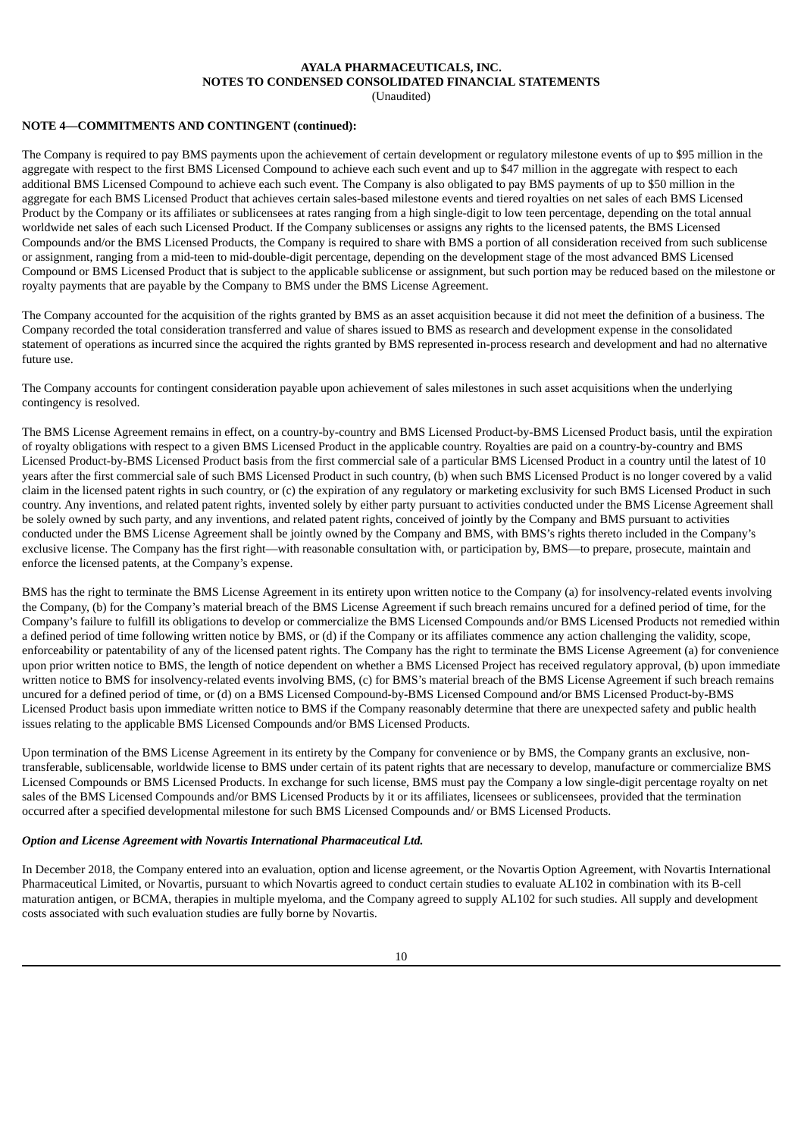(Unaudited)

# **NOTE 4—COMMITMENTS AND CONTINGENT (continued):**

The Company is required to pay BMS payments upon the achievement of certain development or regulatory milestone events of up to \$95 million in the aggregate with respect to the first BMS Licensed Compound to achieve each such event and up to \$47 million in the aggregate with respect to each additional BMS Licensed Compound to achieve each such event. The Company is also obligated to pay BMS payments of up to \$50 million in the aggregate for each BMS Licensed Product that achieves certain sales-based milestone events and tiered royalties on net sales of each BMS Licensed Product by the Company or its affiliates or sublicensees at rates ranging from a high single-digit to low teen percentage, depending on the total annual worldwide net sales of each such Licensed Product. If the Company sublicenses or assigns any rights to the licensed patents, the BMS Licensed Compounds and/or the BMS Licensed Products, the Company is required to share with BMS a portion of all consideration received from such sublicense or assignment, ranging from a mid-teen to mid-double-digit percentage, depending on the development stage of the most advanced BMS Licensed Compound or BMS Licensed Product that is subject to the applicable sublicense or assignment, but such portion may be reduced based on the milestone or royalty payments that are payable by the Company to BMS under the BMS License Agreement.

The Company accounted for the acquisition of the rights granted by BMS as an asset acquisition because it did not meet the definition of a business. The Company recorded the total consideration transferred and value of shares issued to BMS as research and development expense in the consolidated statement of operations as incurred since the acquired the rights granted by BMS represented in-process research and development and had no alternative future use.

The Company accounts for contingent consideration payable upon achievement of sales milestones in such asset acquisitions when the underlying contingency is resolved.

The BMS License Agreement remains in effect, on a country-by-country and BMS Licensed Product-by-BMS Licensed Product basis, until the expiration of royalty obligations with respect to a given BMS Licensed Product in the applicable country. Royalties are paid on a country-by-country and BMS Licensed Product-by-BMS Licensed Product basis from the first commercial sale of a particular BMS Licensed Product in a country until the latest of 10 years after the first commercial sale of such BMS Licensed Product in such country, (b) when such BMS Licensed Product is no longer covered by a valid claim in the licensed patent rights in such country, or (c) the expiration of any regulatory or marketing exclusivity for such BMS Licensed Product in such country. Any inventions, and related patent rights, invented solely by either party pursuant to activities conducted under the BMS License Agreement shall be solely owned by such party, and any inventions, and related patent rights, conceived of jointly by the Company and BMS pursuant to activities conducted under the BMS License Agreement shall be jointly owned by the Company and BMS, with BMS's rights thereto included in the Company's exclusive license. The Company has the first right—with reasonable consultation with, or participation by, BMS—to prepare, prosecute, maintain and enforce the licensed patents, at the Company's expense.

BMS has the right to terminate the BMS License Agreement in its entirety upon written notice to the Company (a) for insolvency-related events involving the Company, (b) for the Company's material breach of the BMS License Agreement if such breach remains uncured for a defined period of time, for the Company's failure to fulfill its obligations to develop or commercialize the BMS Licensed Compounds and/or BMS Licensed Products not remedied within a defined period of time following written notice by BMS, or (d) if the Company or its affiliates commence any action challenging the validity, scope, enforceability or patentability of any of the licensed patent rights. The Company has the right to terminate the BMS License Agreement (a) for convenience upon prior written notice to BMS, the length of notice dependent on whether a BMS Licensed Project has received regulatory approval, (b) upon immediate written notice to BMS for insolvency-related events involving BMS, (c) for BMS's material breach of the BMS License Agreement if such breach remains uncured for a defined period of time, or (d) on a BMS Licensed Compound-by-BMS Licensed Compound and/or BMS Licensed Product-by-BMS Licensed Product basis upon immediate written notice to BMS if the Company reasonably determine that there are unexpected safety and public health issues relating to the applicable BMS Licensed Compounds and/or BMS Licensed Products.

Upon termination of the BMS License Agreement in its entirety by the Company for convenience or by BMS, the Company grants an exclusive, nontransferable, sublicensable, worldwide license to BMS under certain of its patent rights that are necessary to develop, manufacture or commercialize BMS Licensed Compounds or BMS Licensed Products. In exchange for such license, BMS must pay the Company a low single-digit percentage royalty on net sales of the BMS Licensed Compounds and/or BMS Licensed Products by it or its affiliates, licensees or sublicensees, provided that the termination occurred after a specified developmental milestone for such BMS Licensed Compounds and/ or BMS Licensed Products.

### *Option and License Agreement with Novartis International Pharmaceutical Ltd.*

In December 2018, the Company entered into an evaluation, option and license agreement, or the Novartis Option Agreement, with Novartis International Pharmaceutical Limited, or Novartis, pursuant to which Novartis agreed to conduct certain studies to evaluate AL102 in combination with its B-cell maturation antigen, or BCMA, therapies in multiple myeloma, and the Company agreed to supply AL102 for such studies. All supply and development costs associated with such evaluation studies are fully borne by Novartis.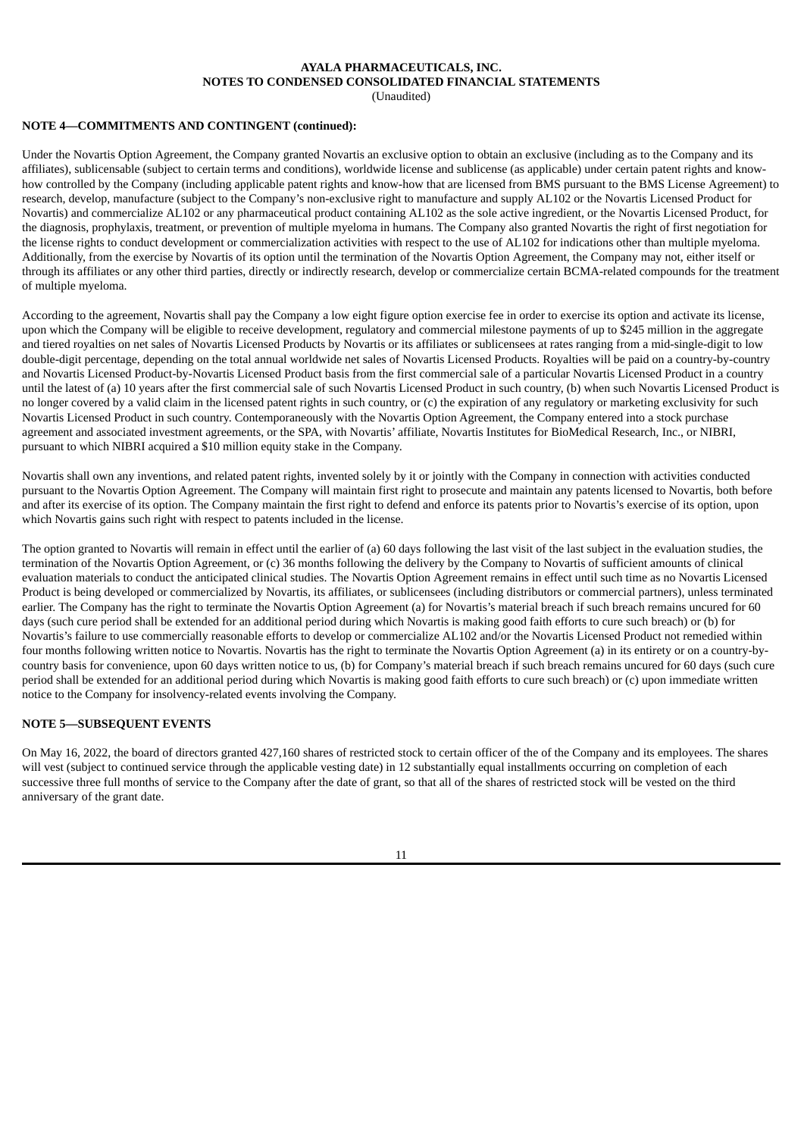(Unaudited)

# **NOTE 4—COMMITMENTS AND CONTINGENT (continued):**

Under the Novartis Option Agreement, the Company granted Novartis an exclusive option to obtain an exclusive (including as to the Company and its affiliates), sublicensable (subject to certain terms and conditions), worldwide license and sublicense (as applicable) under certain patent rights and knowhow controlled by the Company (including applicable patent rights and know-how that are licensed from BMS pursuant to the BMS License Agreement) to research, develop, manufacture (subject to the Company's non-exclusive right to manufacture and supply AL102 or the Novartis Licensed Product for Novartis) and commercialize AL102 or any pharmaceutical product containing AL102 as the sole active ingredient, or the Novartis Licensed Product, for the diagnosis, prophylaxis, treatment, or prevention of multiple myeloma in humans. The Company also granted Novartis the right of first negotiation for the license rights to conduct development or commercialization activities with respect to the use of AL102 for indications other than multiple myeloma. Additionally, from the exercise by Novartis of its option until the termination of the Novartis Option Agreement, the Company may not, either itself or through its affiliates or any other third parties, directly or indirectly research, develop or commercialize certain BCMA-related compounds for the treatment of multiple myeloma.

According to the agreement, Novartis shall pay the Company a low eight figure option exercise fee in order to exercise its option and activate its license, upon which the Company will be eligible to receive development, regulatory and commercial milestone payments of up to \$245 million in the aggregate and tiered royalties on net sales of Novartis Licensed Products by Novartis or its affiliates or sublicensees at rates ranging from a mid-single-digit to low double-digit percentage, depending on the total annual worldwide net sales of Novartis Licensed Products. Royalties will be paid on a country-by-country and Novartis Licensed Product-by-Novartis Licensed Product basis from the first commercial sale of a particular Novartis Licensed Product in a country until the latest of (a) 10 years after the first commercial sale of such Novartis Licensed Product in such country, (b) when such Novartis Licensed Product is no longer covered by a valid claim in the licensed patent rights in such country, or (c) the expiration of any regulatory or marketing exclusivity for such Novartis Licensed Product in such country. Contemporaneously with the Novartis Option Agreement, the Company entered into a stock purchase agreement and associated investment agreements, or the SPA, with Novartis' affiliate, Novartis Institutes for BioMedical Research, Inc., or NIBRI, pursuant to which NIBRI acquired a \$10 million equity stake in the Company.

Novartis shall own any inventions, and related patent rights, invented solely by it or jointly with the Company in connection with activities conducted pursuant to the Novartis Option Agreement. The Company will maintain first right to prosecute and maintain any patents licensed to Novartis, both before and after its exercise of its option. The Company maintain the first right to defend and enforce its patents prior to Novartis's exercise of its option, upon which Novartis gains such right with respect to patents included in the license.

The option granted to Novartis will remain in effect until the earlier of (a) 60 days following the last visit of the last subject in the evaluation studies, the termination of the Novartis Option Agreement, or (c) 36 months following the delivery by the Company to Novartis of sufficient amounts of clinical evaluation materials to conduct the anticipated clinical studies. The Novartis Option Agreement remains in effect until such time as no Novartis Licensed Product is being developed or commercialized by Novartis, its affiliates, or sublicensees (including distributors or commercial partners), unless terminated earlier. The Company has the right to terminate the Novartis Option Agreement (a) for Novartis's material breach if such breach remains uncured for 60 days (such cure period shall be extended for an additional period during which Novartis is making good faith efforts to cure such breach) or (b) for Novartis's failure to use commercially reasonable efforts to develop or commercialize AL102 and/or the Novartis Licensed Product not remedied within four months following written notice to Novartis. Novartis has the right to terminate the Novartis Option Agreement (a) in its entirety or on a country-bycountry basis for convenience, upon 60 days written notice to us, (b) for Company's material breach if such breach remains uncured for 60 days (such cure period shall be extended for an additional period during which Novartis is making good faith efforts to cure such breach) or (c) upon immediate written notice to the Company for insolvency-related events involving the Company.

# **NOTE 5—SUBSEQUENT EVENTS**

On May 16, 2022, the board of directors granted 427,160 shares of restricted stock to certain officer of the of the Company and its employees. The shares will vest (subject to continued service through the applicable vesting date) in 12 substantially equal installments occurring on completion of each successive three full months of service to the Company after the date of grant, so that all of the shares of restricted stock will be vested on the third anniversary of the grant date.

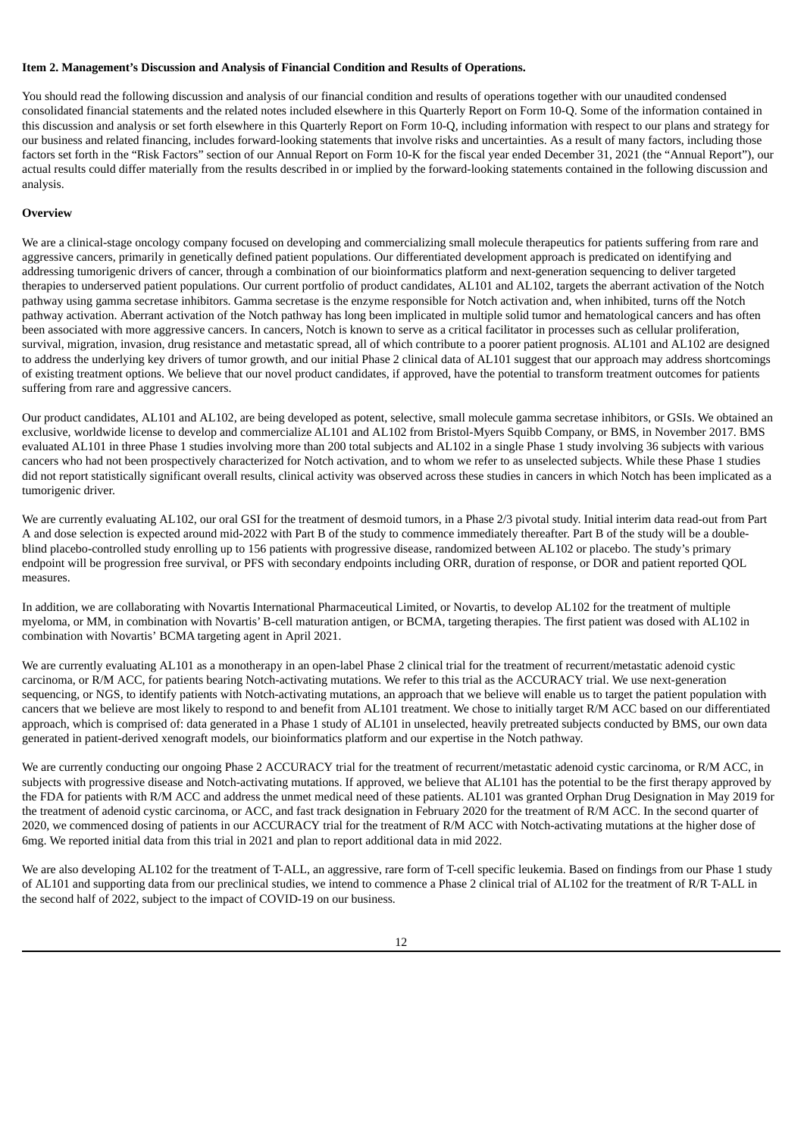### <span id="page-14-0"></span>**Item 2. Management's Discussion and Analysis of Financial Condition and Results of Operations.**

You should read the following discussion and analysis of our financial condition and results of operations together with our unaudited condensed consolidated financial statements and the related notes included elsewhere in this Quarterly Report on Form 10-Q. Some of the information contained in this discussion and analysis or set forth elsewhere in this Quarterly Report on Form 10-Q, including information with respect to our plans and strategy for our business and related financing, includes forward-looking statements that involve risks and uncertainties. As a result of many factors, including those factors set forth in the "Risk Factors" section of our Annual Report on Form 10-K for the fiscal year ended December 31, 2021 (the "Annual Report"), our actual results could differ materially from the results described in or implied by the forward-looking statements contained in the following discussion and analysis.

#### **Overview**

We are a clinical-stage oncology company focused on developing and commercializing small molecule therapeutics for patients suffering from rare and aggressive cancers, primarily in genetically defined patient populations. Our differentiated development approach is predicated on identifying and addressing tumorigenic drivers of cancer, through a combination of our bioinformatics platform and next-generation sequencing to deliver targeted therapies to underserved patient populations. Our current portfolio of product candidates, AL101 and AL102, targets the aberrant activation of the Notch pathway using gamma secretase inhibitors. Gamma secretase is the enzyme responsible for Notch activation and, when inhibited, turns off the Notch pathway activation. Aberrant activation of the Notch pathway has long been implicated in multiple solid tumor and hematological cancers and has often been associated with more aggressive cancers. In cancers, Notch is known to serve as a critical facilitator in processes such as cellular proliferation, survival, migration, invasion, drug resistance and metastatic spread, all of which contribute to a poorer patient prognosis. AL101 and AL102 are designed to address the underlying key drivers of tumor growth, and our initial Phase 2 clinical data of AL101 suggest that our approach may address shortcomings of existing treatment options. We believe that our novel product candidates, if approved, have the potential to transform treatment outcomes for patients suffering from rare and aggressive cancers.

Our product candidates, AL101 and AL102, are being developed as potent, selective, small molecule gamma secretase inhibitors, or GSIs. We obtained an exclusive, worldwide license to develop and commercialize AL101 and AL102 from Bristol-Myers Squibb Company, or BMS, in November 2017. BMS evaluated AL101 in three Phase 1 studies involving more than 200 total subjects and AL102 in a single Phase 1 study involving 36 subjects with various cancers who had not been prospectively characterized for Notch activation, and to whom we refer to as unselected subjects. While these Phase 1 studies did not report statistically significant overall results, clinical activity was observed across these studies in cancers in which Notch has been implicated as a tumorigenic driver.

We are currently evaluating AL102, our oral GSI for the treatment of desmoid tumors, in a Phase 2/3 pivotal study. Initial interim data read-out from Part A and dose selection is expected around mid-2022 with Part B of the study to commence immediately thereafter. Part B of the study will be a doubleblind placebo-controlled study enrolling up to 156 patients with progressive disease, randomized between AL102 or placebo. The study's primary endpoint will be progression free survival, or PFS with secondary endpoints including ORR, duration of response, or DOR and patient reported QOL measures.

In addition, we are collaborating with Novartis International Pharmaceutical Limited, or Novartis, to develop AL102 for the treatment of multiple myeloma, or MM, in combination with Novartis' B-cell maturation antigen, or BCMA, targeting therapies. The first patient was dosed with AL102 in combination with Novartis' BCMA targeting agent in April 2021.

We are currently evaluating AL101 as a monotherapy in an open-label Phase 2 clinical trial for the treatment of recurrent/metastatic adenoid cystic carcinoma, or R/M ACC, for patients bearing Notch-activating mutations. We refer to this trial as the ACCURACY trial. We use next-generation sequencing, or NGS, to identify patients with Notch-activating mutations, an approach that we believe will enable us to target the patient population with cancers that we believe are most likely to respond to and benefit from AL101 treatment. We chose to initially target R/M ACC based on our differentiated approach, which is comprised of: data generated in a Phase 1 study of AL101 in unselected, heavily pretreated subjects conducted by BMS, our own data generated in patient-derived xenograft models, our bioinformatics platform and our expertise in the Notch pathway.

We are currently conducting our ongoing Phase 2 ACCURACY trial for the treatment of recurrent/metastatic adenoid cystic carcinoma, or R/M ACC, in subjects with progressive disease and Notch-activating mutations. If approved, we believe that AL101 has the potential to be the first therapy approved by the FDA for patients with R/M ACC and address the unmet medical need of these patients. AL101 was granted Orphan Drug Designation in May 2019 for the treatment of adenoid cystic carcinoma, or ACC, and fast track designation in February 2020 for the treatment of R/M ACC. In the second quarter of 2020, we commenced dosing of patients in our ACCURACY trial for the treatment of R/M ACC with Notch-activating mutations at the higher dose of 6mg. We reported initial data from this trial in 2021 and plan to report additional data in mid 2022.

We are also developing AL102 for the treatment of T-ALL, an aggressive, rare form of T-cell specific leukemia. Based on findings from our Phase 1 study of AL101 and supporting data from our preclinical studies, we intend to commence a Phase 2 clinical trial of AL102 for the treatment of R/R T-ALL in the second half of 2022, subject to the impact of COVID-19 on our business.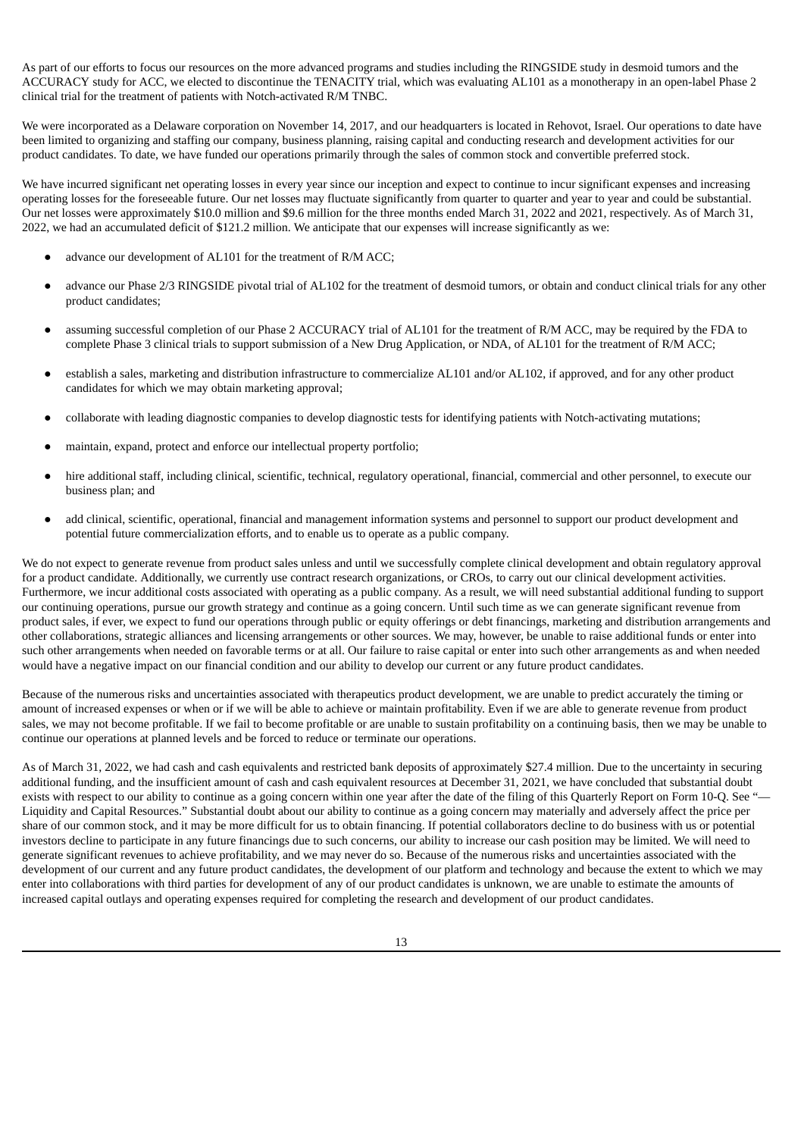As part of our efforts to focus our resources on the more advanced programs and studies including the RINGSIDE study in desmoid tumors and the ACCURACY study for ACC, we elected to discontinue the TENACITY trial, which was evaluating AL101 as a monotherapy in an open-label Phase 2 clinical trial for the treatment of patients with Notch-activated R/M TNBC.

We were incorporated as a Delaware corporation on November 14, 2017, and our headquarters is located in Rehovot, Israel. Our operations to date have been limited to organizing and staffing our company, business planning, raising capital and conducting research and development activities for our product candidates. To date, we have funded our operations primarily through the sales of common stock and convertible preferred stock.

We have incurred significant net operating losses in every year since our inception and expect to continue to incur significant expenses and increasing operating losses for the foreseeable future. Our net losses may fluctuate significantly from quarter to quarter and year to year and could be substantial. Our net losses were approximately \$10.0 million and \$9.6 million for the three months ended March 31, 2022 and 2021, respectively. As of March 31, 2022, we had an accumulated deficit of \$121.2 million. We anticipate that our expenses will increase significantly as we:

- advance our development of AL101 for the treatment of R/M ACC;
- advance our Phase 2/3 RINGSIDE pivotal trial of AL102 for the treatment of desmoid tumors, or obtain and conduct clinical trials for any other product candidates;
- assuming successful completion of our Phase 2 ACCURACY trial of AL101 for the treatment of R/M ACC, may be required by the FDA to complete Phase 3 clinical trials to support submission of a New Drug Application, or NDA, of AL101 for the treatment of R/M ACC;
- establish a sales, marketing and distribution infrastructure to commercialize AL101 and/or AL102, if approved, and for any other product candidates for which we may obtain marketing approval;
- collaborate with leading diagnostic companies to develop diagnostic tests for identifying patients with Notch-activating mutations;
- maintain, expand, protect and enforce our intellectual property portfolio;
- hire additional staff, including clinical, scientific, technical, regulatory operational, financial, commercial and other personnel, to execute our business plan; and
- add clinical, scientific, operational, financial and management information systems and personnel to support our product development and potential future commercialization efforts, and to enable us to operate as a public company.

We do not expect to generate revenue from product sales unless and until we successfully complete clinical development and obtain regulatory approval for a product candidate. Additionally, we currently use contract research organizations, or CROs, to carry out our clinical development activities. Furthermore, we incur additional costs associated with operating as a public company. As a result, we will need substantial additional funding to support our continuing operations, pursue our growth strategy and continue as a going concern. Until such time as we can generate significant revenue from product sales, if ever, we expect to fund our operations through public or equity offerings or debt financings, marketing and distribution arrangements and other collaborations, strategic alliances and licensing arrangements or other sources. We may, however, be unable to raise additional funds or enter into such other arrangements when needed on favorable terms or at all. Our failure to raise capital or enter into such other arrangements as and when needed would have a negative impact on our financial condition and our ability to develop our current or any future product candidates.

Because of the numerous risks and uncertainties associated with therapeutics product development, we are unable to predict accurately the timing or amount of increased expenses or when or if we will be able to achieve or maintain profitability. Even if we are able to generate revenue from product sales, we may not become profitable. If we fail to become profitable or are unable to sustain profitability on a continuing basis, then we may be unable to continue our operations at planned levels and be forced to reduce or terminate our operations.

As of March 31, 2022, we had cash and cash equivalents and restricted bank deposits of approximately \$27.4 million. Due to the uncertainty in securing additional funding, and the insufficient amount of cash and cash equivalent resources at December 31, 2021, we have concluded that substantial doubt exists with respect to our ability to continue as a going concern within one year after the date of the filing of this Quarterly Report on Form 10-Q. See "— Liquidity and Capital Resources." Substantial doubt about our ability to continue as a going concern may materially and adversely affect the price per share of our common stock, and it may be more difficult for us to obtain financing. If potential collaborators decline to do business with us or potential investors decline to participate in any future financings due to such concerns, our ability to increase our cash position may be limited. We will need to generate significant revenues to achieve profitability, and we may never do so. Because of the numerous risks and uncertainties associated with the development of our current and any future product candidates, the development of our platform and technology and because the extent to which we may enter into collaborations with third parties for development of any of our product candidates is unknown, we are unable to estimate the amounts of increased capital outlays and operating expenses required for completing the research and development of our product candidates.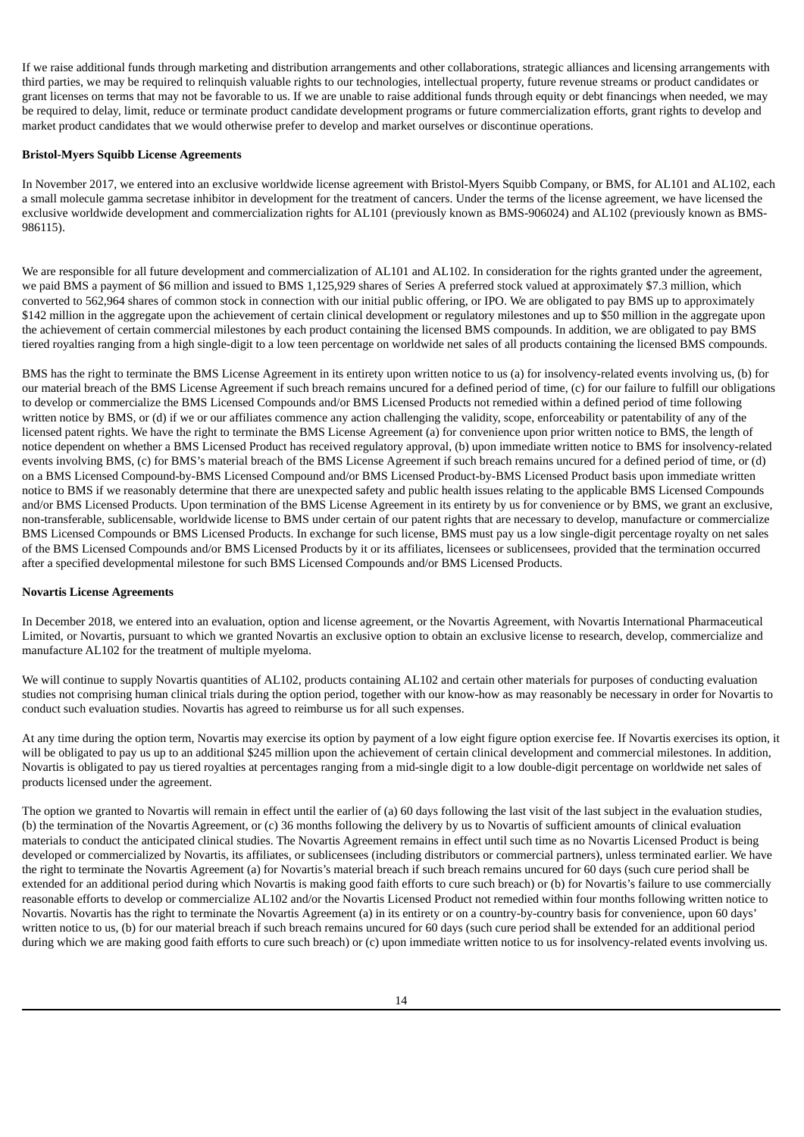If we raise additional funds through marketing and distribution arrangements and other collaborations, strategic alliances and licensing arrangements with third parties, we may be required to relinquish valuable rights to our technologies, intellectual property, future revenue streams or product candidates or grant licenses on terms that may not be favorable to us. If we are unable to raise additional funds through equity or debt financings when needed, we may be required to delay, limit, reduce or terminate product candidate development programs or future commercialization efforts, grant rights to develop and market product candidates that we would otherwise prefer to develop and market ourselves or discontinue operations.

# **Bristol-Myers Squibb License Agreements**

In November 2017, we entered into an exclusive worldwide license agreement with Bristol-Myers Squibb Company, or BMS, for AL101 and AL102, each a small molecule gamma secretase inhibitor in development for the treatment of cancers. Under the terms of the license agreement, we have licensed the exclusive worldwide development and commercialization rights for AL101 (previously known as BMS-906024) and AL102 (previously known as BMS-986115).

We are responsible for all future development and commercialization of AL101 and AL102. In consideration for the rights granted under the agreement, we paid BMS a payment of \$6 million and issued to BMS 1,125,929 shares of Series A preferred stock valued at approximately \$7.3 million, which converted to 562,964 shares of common stock in connection with our initial public offering, or IPO. We are obligated to pay BMS up to approximately \$142 million in the aggregate upon the achievement of certain clinical development or regulatory milestones and up to \$50 million in the aggregate upon the achievement of certain commercial milestones by each product containing the licensed BMS compounds. In addition, we are obligated to pay BMS tiered royalties ranging from a high single-digit to a low teen percentage on worldwide net sales of all products containing the licensed BMS compounds.

BMS has the right to terminate the BMS License Agreement in its entirety upon written notice to us (a) for insolvency-related events involving us, (b) for our material breach of the BMS License Agreement if such breach remains uncured for a defined period of time, (c) for our failure to fulfill our obligations to develop or commercialize the BMS Licensed Compounds and/or BMS Licensed Products not remedied within a defined period of time following written notice by BMS, or (d) if we or our affiliates commence any action challenging the validity, scope, enforceability or patentability of any of the licensed patent rights. We have the right to terminate the BMS License Agreement (a) for convenience upon prior written notice to BMS, the length of notice dependent on whether a BMS Licensed Product has received regulatory approval, (b) upon immediate written notice to BMS for insolvency-related events involving BMS, (c) for BMS's material breach of the BMS License Agreement if such breach remains uncured for a defined period of time, or (d) on a BMS Licensed Compound-by-BMS Licensed Compound and/or BMS Licensed Product-by-BMS Licensed Product basis upon immediate written notice to BMS if we reasonably determine that there are unexpected safety and public health issues relating to the applicable BMS Licensed Compounds and/or BMS Licensed Products. Upon termination of the BMS License Agreement in its entirety by us for convenience or by BMS, we grant an exclusive, non-transferable, sublicensable, worldwide license to BMS under certain of our patent rights that are necessary to develop, manufacture or commercialize BMS Licensed Compounds or BMS Licensed Products. In exchange for such license, BMS must pay us a low single-digit percentage royalty on net sales of the BMS Licensed Compounds and/or BMS Licensed Products by it or its affiliates, licensees or sublicensees, provided that the termination occurred after a specified developmental milestone for such BMS Licensed Compounds and/or BMS Licensed Products.

#### **Novartis License Agreements**

In December 2018, we entered into an evaluation, option and license agreement, or the Novartis Agreement, with Novartis International Pharmaceutical Limited, or Novartis, pursuant to which we granted Novartis an exclusive option to obtain an exclusive license to research, develop, commercialize and manufacture AL102 for the treatment of multiple myeloma.

We will continue to supply Novartis quantities of AL102, products containing AL102 and certain other materials for purposes of conducting evaluation studies not comprising human clinical trials during the option period, together with our know-how as may reasonably be necessary in order for Novartis to conduct such evaluation studies. Novartis has agreed to reimburse us for all such expenses.

At any time during the option term, Novartis may exercise its option by payment of a low eight figure option exercise fee. If Novartis exercises its option, it will be obligated to pay us up to an additional \$245 million upon the achievement of certain clinical development and commercial milestones. In addition, Novartis is obligated to pay us tiered royalties at percentages ranging from a mid-single digit to a low double-digit percentage on worldwide net sales of products licensed under the agreement.

The option we granted to Novartis will remain in effect until the earlier of (a) 60 days following the last visit of the last subject in the evaluation studies, (b) the termination of the Novartis Agreement, or (c) 36 months following the delivery by us to Novartis of sufficient amounts of clinical evaluation materials to conduct the anticipated clinical studies. The Novartis Agreement remains in effect until such time as no Novartis Licensed Product is being developed or commercialized by Novartis, its affiliates, or sublicensees (including distributors or commercial partners), unless terminated earlier. We have the right to terminate the Novartis Agreement (a) for Novartis's material breach if such breach remains uncured for 60 days (such cure period shall be extended for an additional period during which Novartis is making good faith efforts to cure such breach) or (b) for Novartis's failure to use commercially reasonable efforts to develop or commercialize AL102 and/or the Novartis Licensed Product not remedied within four months following written notice to Novartis. Novartis has the right to terminate the Novartis Agreement (a) in its entirety or on a country-by-country basis for convenience, upon 60 days' written notice to us, (b) for our material breach if such breach remains uncured for 60 days (such cure period shall be extended for an additional period during which we are making good faith efforts to cure such breach) or (c) upon immediate written notice to us for insolvency-related events involving us.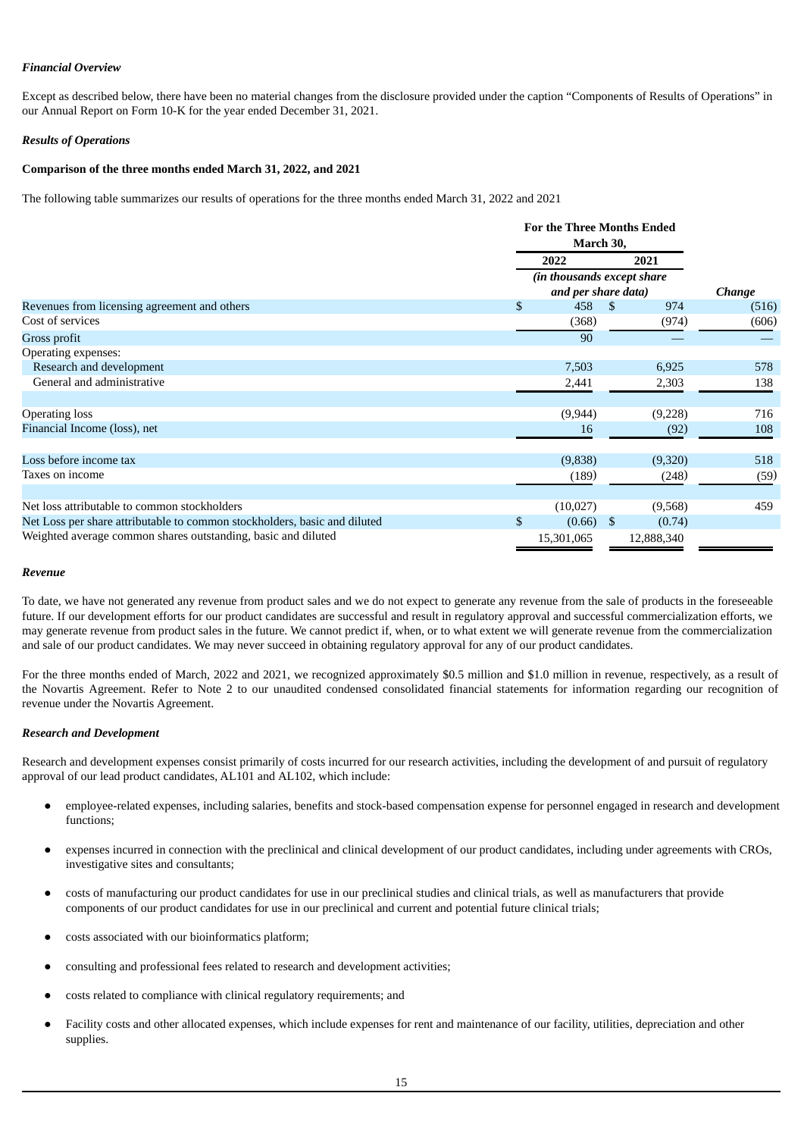# *Financial Overview*

Except as described below, there have been no material changes from the disclosure provided under the caption "Components of Results of Operations" in our Annual Report on Form 10-K for the year ended December 31, 2021.

# *Results of Operations*

# **Comparison of the three months ended March 31, 2022, and 2021**

The following table summarizes our results of operations for the three months ended March 31, 2022 and 2021

|                                                                           | <b>For the Three Months Ended</b><br>March 30, |                     |               |            |               |
|---------------------------------------------------------------------------|------------------------------------------------|---------------------|---------------|------------|---------------|
|                                                                           | 2022<br>2021                                   |                     |               |            |               |
|                                                                           | (in thousands except share)                    |                     |               |            |               |
|                                                                           |                                                | and per share data) |               |            | <b>Change</b> |
| Revenues from licensing agreement and others                              | \$                                             | 458                 | <sup>\$</sup> | 974        | (516)         |
| Cost of services                                                          |                                                | (368)               |               | (974)      | (606)         |
| Gross profit                                                              |                                                | 90                  |               |            |               |
| Operating expenses:                                                       |                                                |                     |               |            |               |
| Research and development                                                  |                                                | 7,503               |               | 6,925      | 578           |
| General and administrative                                                |                                                | 2,441               |               | 2,303      | 138           |
|                                                                           |                                                |                     |               |            |               |
| Operating loss                                                            |                                                | (9, 944)            |               | (9,228)    | 716           |
| Financial Income (loss), net                                              |                                                | 16                  |               | (92)       | 108           |
|                                                                           |                                                |                     |               |            |               |
| Loss before income tax                                                    |                                                | (9,838)             |               | (9,320)    | 518           |
| Taxes on income                                                           |                                                | (189)               |               | (248)      | (59)          |
|                                                                           |                                                |                     |               |            |               |
| Net loss attributable to common stockholders                              |                                                | (10,027)            |               | (9,568)    | 459           |
| Net Loss per share attributable to common stockholders, basic and diluted | \$                                             | (0.66)              | \$            | (0.74)     |               |
| Weighted average common shares outstanding, basic and diluted             |                                                | 15,301,065          |               | 12,888,340 |               |

# *Revenue*

To date, we have not generated any revenue from product sales and we do not expect to generate any revenue from the sale of products in the foreseeable future. If our development efforts for our product candidates are successful and result in regulatory approval and successful commercialization efforts, we may generate revenue from product sales in the future. We cannot predict if, when, or to what extent we will generate revenue from the commercialization and sale of our product candidates. We may never succeed in obtaining regulatory approval for any of our product candidates.

For the three months ended of March, 2022 and 2021, we recognized approximately \$0.5 million and \$1.0 million in revenue, respectively, as a result of the Novartis Agreement. Refer to Note 2 to our unaudited condensed consolidated financial statements for information regarding our recognition of revenue under the Novartis Agreement.

# *Research and Development*

Research and development expenses consist primarily of costs incurred for our research activities, including the development of and pursuit of regulatory approval of our lead product candidates, AL101 and AL102, which include:

- employee-related expenses, including salaries, benefits and stock-based compensation expense for personnel engaged in research and development functions;
- expenses incurred in connection with the preclinical and clinical development of our product candidates, including under agreements with CROs, investigative sites and consultants;
- costs of manufacturing our product candidates for use in our preclinical studies and clinical trials, as well as manufacturers that provide components of our product candidates for use in our preclinical and current and potential future clinical trials;
- costs associated with our bioinformatics platform;
- consulting and professional fees related to research and development activities;
- costs related to compliance with clinical regulatory requirements; and
- Facility costs and other allocated expenses, which include expenses for rent and maintenance of our facility, utilities, depreciation and other supplies.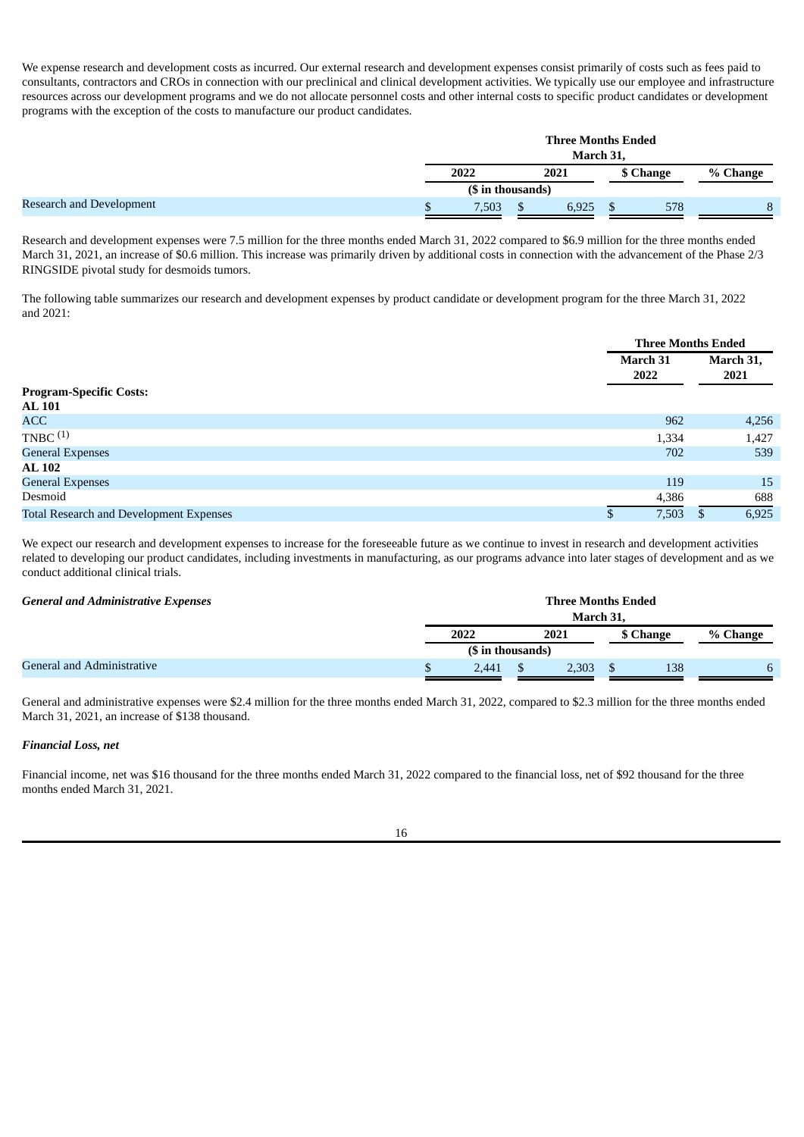We expense research and development costs as incurred. Our external research and development expenses consist primarily of costs such as fees paid to consultants, contractors and CROs in connection with our preclinical and clinical development activities. We typically use our employee and infrastructure resources across our development programs and we do not allocate personnel costs and other internal costs to specific product candidates or development programs with the exception of the costs to manufacture our product candidates.

|                          | <b>Three Months Ended</b> |  |       |  |           |          |  |
|--------------------------|---------------------------|--|-------|--|-----------|----------|--|
|                          | March 31,                 |  |       |  |           |          |  |
|                          | 2022<br>2021              |  |       |  | \$ Change | % Change |  |
|                          | (\$ in thousands)         |  |       |  |           |          |  |
| Research and Development | 7,503                     |  | 6,925 |  | 578       | 8        |  |

Research and development expenses were 7.5 million for the three months ended March 31, 2022 compared to \$6.9 million for the three months ended March 31, 2021, an increase of \$0.6 million. This increase was primarily driven by additional costs in connection with the advancement of the Phase 2/3 RINGSIDE pivotal study for desmoids tumors.

The following table summarizes our research and development expenses by product candidate or development program for the three March 31, 2022 and 2021:

|                                         |                  | <b>Three Months Ended</b> |  |  |
|-----------------------------------------|------------------|---------------------------|--|--|
|                                         | March 31<br>2022 | March 31,<br>2021         |  |  |
| <b>Program-Specific Costs:</b>          |                  |                           |  |  |
| <b>AL 101</b>                           |                  |                           |  |  |
| <b>ACC</b>                              | 962              | 4,256                     |  |  |
| TNBC $(1)$                              | 1,334            | 1,427                     |  |  |
| <b>General Expenses</b>                 | 702              | 539                       |  |  |
| <b>AL 102</b>                           |                  |                           |  |  |
| <b>General Expenses</b>                 | 119              | 15                        |  |  |
| Desmoid                                 | 4,386            | 688                       |  |  |
| Total Research and Development Expenses | 7,503<br>\$      | 6,925                     |  |  |

We expect our research and development expenses to increase for the foreseeable future as we continue to invest in research and development activities related to developing our product candidates, including investments in manufacturing, as our programs advance into later stages of development and as we conduct additional clinical trials.

| <b>General and Administrative Expenses</b> | <b>Three Months Ended</b><br>March 31. |  |       |  |           |          |
|--------------------------------------------|----------------------------------------|--|-------|--|-----------|----------|
|                                            | 2022                                   |  | 2021  |  | \$ Change | % Change |
|                                            | (\$ in thousands)                      |  |       |  |           |          |
| General and Administrative                 | 2.441                                  |  | 2.303 |  | 138       |          |

General and administrative expenses were \$2.4 million for the three months ended March 31, 2022, compared to \$2.3 million for the three months ended March 31, 2021, an increase of \$138 thousand.

# *Financial Loss, net*

Financial income, net was \$16 thousand for the three months ended March 31, 2022 compared to the financial loss, net of \$92 thousand for the three months ended March 31, 2021.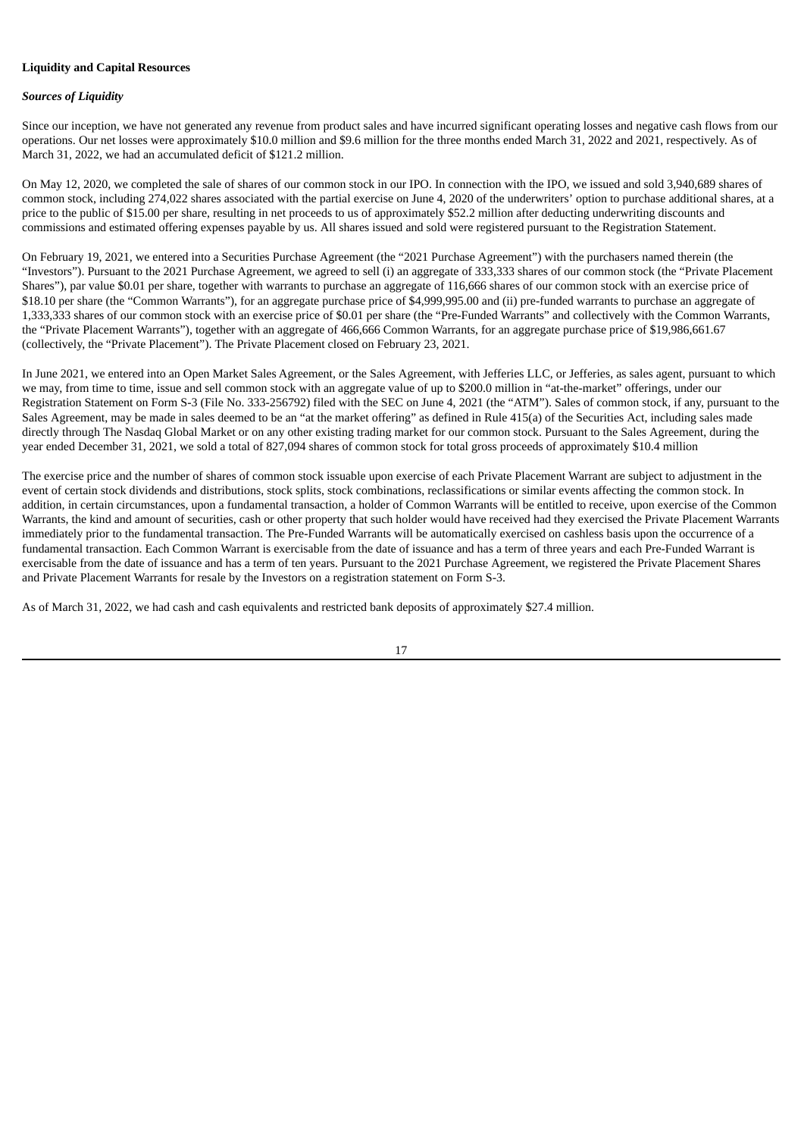# **Liquidity and Capital Resources**

# *Sources of Liquidity*

Since our inception, we have not generated any revenue from product sales and have incurred significant operating losses and negative cash flows from our operations. Our net losses were approximately \$10.0 million and \$9.6 million for the three months ended March 31, 2022 and 2021, respectively. As of March 31, 2022, we had an accumulated deficit of \$121.2 million.

On May 12, 2020, we completed the sale of shares of our common stock in our IPO. In connection with the IPO, we issued and sold 3,940,689 shares of common stock, including 274,022 shares associated with the partial exercise on June 4, 2020 of the underwriters' option to purchase additional shares, at a price to the public of \$15.00 per share, resulting in net proceeds to us of approximately \$52.2 million after deducting underwriting discounts and commissions and estimated offering expenses payable by us. All shares issued and sold were registered pursuant to the Registration Statement.

On February 19, 2021, we entered into a Securities Purchase Agreement (the "2021 Purchase Agreement") with the purchasers named therein (the "Investors"). Pursuant to the 2021 Purchase Agreement, we agreed to sell (i) an aggregate of 333,333 shares of our common stock (the "Private Placement Shares"), par value \$0.01 per share, together with warrants to purchase an aggregate of 116,666 shares of our common stock with an exercise price of \$18.10 per share (the "Common Warrants"), for an aggregate purchase price of \$4,999,995.00 and (ii) pre-funded warrants to purchase an aggregate of 1,333,333 shares of our common stock with an exercise price of \$0.01 per share (the "Pre-Funded Warrants" and collectively with the Common Warrants, the "Private Placement Warrants"), together with an aggregate of 466,666 Common Warrants, for an aggregate purchase price of \$19,986,661.67 (collectively, the "Private Placement"). The Private Placement closed on February 23, 2021.

In June 2021, we entered into an Open Market Sales Agreement, or the Sales Agreement, with Jefferies LLC, or Jefferies, as sales agent, pursuant to which we may, from time to time, issue and sell common stock with an aggregate value of up to \$200.0 million in "at-the-market" offerings, under our Registration Statement on Form S-3 (File No. 333-256792) filed with the SEC on June 4, 2021 (the "ATM"). Sales of common stock, if any, pursuant to the Sales Agreement, may be made in sales deemed to be an "at the market offering" as defined in Rule 415(a) of the Securities Act, including sales made directly through The Nasdaq Global Market or on any other existing trading market for our common stock. Pursuant to the Sales Agreement, during the year ended December 31, 2021, we sold a total of 827,094 shares of common stock for total gross proceeds of approximately \$10.4 million

The exercise price and the number of shares of common stock issuable upon exercise of each Private Placement Warrant are subject to adjustment in the event of certain stock dividends and distributions, stock splits, stock combinations, reclassifications or similar events affecting the common stock. In addition, in certain circumstances, upon a fundamental transaction, a holder of Common Warrants will be entitled to receive, upon exercise of the Common Warrants, the kind and amount of securities, cash or other property that such holder would have received had they exercised the Private Placement Warrants immediately prior to the fundamental transaction. The Pre-Funded Warrants will be automatically exercised on cashless basis upon the occurrence of a fundamental transaction. Each Common Warrant is exercisable from the date of issuance and has a term of three years and each Pre-Funded Warrant is exercisable from the date of issuance and has a term of ten years. Pursuant to the 2021 Purchase Agreement, we registered the Private Placement Shares and Private Placement Warrants for resale by the Investors on a registration statement on Form S-3.

As of March 31, 2022, we had cash and cash equivalents and restricted bank deposits of approximately \$27.4 million.

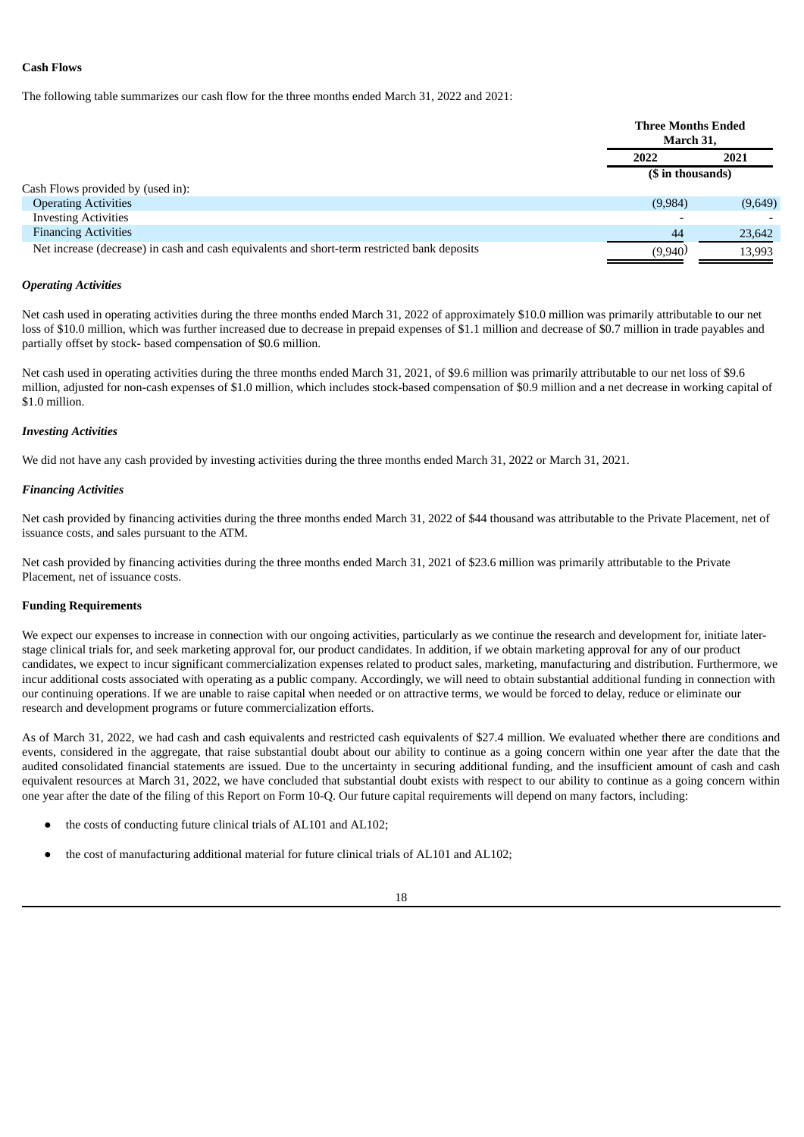# **Cash Flows**

The following table summarizes our cash flow for the three months ended March 31, 2022 and 2021:

|                                                                                              | <b>Three Months Ended</b><br>March 31, |         |  |
|----------------------------------------------------------------------------------------------|----------------------------------------|---------|--|
|                                                                                              | 2022                                   | 2021    |  |
|                                                                                              | (\$ in thousands)                      |         |  |
| Cash Flows provided by (used in):                                                            |                                        |         |  |
| <b>Operating Activities</b>                                                                  | (9,984)                                | (9,649) |  |
| <b>Investing Activities</b>                                                                  |                                        |         |  |
| <b>Financing Activities</b>                                                                  | 44                                     | 23,642  |  |
| Net increase (decrease) in cash and cash equivalents and short-term restricted bank deposits | (9,940)                                | 13,993  |  |

### *Operating Activities*

Net cash used in operating activities during the three months ended March 31, 2022 of approximately \$10.0 million was primarily attributable to our net loss of \$10.0 million, which was further increased due to decrease in prepaid expenses of \$1.1 million and decrease of \$0.7 million in trade payables and partially offset by stock- based compensation of \$0.6 million.

Net cash used in operating activities during the three months ended March 31, 2021, of \$9.6 million was primarily attributable to our net loss of \$9.6 million, adjusted for non-cash expenses of \$1.0 million, which includes stock-based compensation of \$0.9 million and a net decrease in working capital of \$1.0 million.

#### *Investing Activities*

We did not have any cash provided by investing activities during the three months ended March 31, 2022 or March 31, 2021.

#### *Financing Activities*

Net cash provided by financing activities during the three months ended March 31, 2022 of \$44 thousand was attributable to the Private Placement, net of issuance costs, and sales pursuant to the ATM.

Net cash provided by financing activities during the three months ended March 31, 2021 of \$23.6 million was primarily attributable to the Private Placement, net of issuance costs.

#### **Funding Requirements**

We expect our expenses to increase in connection with our ongoing activities, particularly as we continue the research and development for, initiate laterstage clinical trials for, and seek marketing approval for, our product candidates. In addition, if we obtain marketing approval for any of our product candidates, we expect to incur significant commercialization expenses related to product sales, marketing, manufacturing and distribution. Furthermore, we incur additional costs associated with operating as a public company. Accordingly, we will need to obtain substantial additional funding in connection with our continuing operations. If we are unable to raise capital when needed or on attractive terms, we would be forced to delay, reduce or eliminate our research and development programs or future commercialization efforts.

As of March 31, 2022, we had cash and cash equivalents and restricted cash equivalents of \$27.4 million. We evaluated whether there are conditions and events, considered in the aggregate, that raise substantial doubt about our ability to continue as a going concern within one year after the date that the audited consolidated financial statements are issued. Due to the uncertainty in securing additional funding, and the insufficient amount of cash and cash equivalent resources at March 31, 2022, we have concluded that substantial doubt exists with respect to our ability to continue as a going concern within one year after the date of the filing of this Report on Form 10-Q. Our future capital requirements will depend on many factors, including:

- the costs of conducting future clinical trials of AL101 and AL102;
- the cost of manufacturing additional material for future clinical trials of AL101 and AL102;

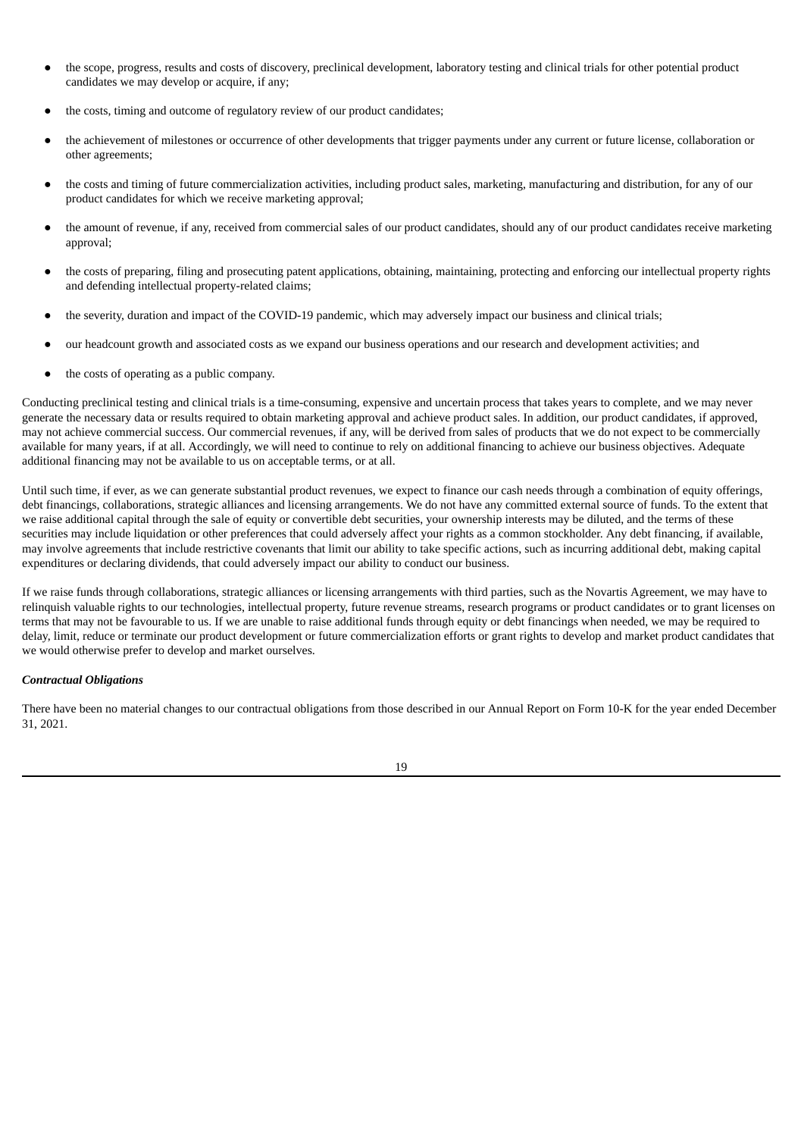- the scope, progress, results and costs of discovery, preclinical development, laboratory testing and clinical trials for other potential product candidates we may develop or acquire, if any;
- the costs, timing and outcome of regulatory review of our product candidates;
- the achievement of milestones or occurrence of other developments that trigger payments under any current or future license, collaboration or other agreements;
- the costs and timing of future commercialization activities, including product sales, marketing, manufacturing and distribution, for any of our product candidates for which we receive marketing approval;
- the amount of revenue, if any, received from commercial sales of our product candidates, should any of our product candidates receive marketing approval;
- the costs of preparing, filing and prosecuting patent applications, obtaining, maintaining, protecting and enforcing our intellectual property rights and defending intellectual property-related claims;
- the severity, duration and impact of the COVID-19 pandemic, which may adversely impact our business and clinical trials;
- our headcount growth and associated costs as we expand our business operations and our research and development activities; and
- the costs of operating as a public company.

Conducting preclinical testing and clinical trials is a time-consuming, expensive and uncertain process that takes years to complete, and we may never generate the necessary data or results required to obtain marketing approval and achieve product sales. In addition, our product candidates, if approved, may not achieve commercial success. Our commercial revenues, if any, will be derived from sales of products that we do not expect to be commercially available for many years, if at all. Accordingly, we will need to continue to rely on additional financing to achieve our business objectives. Adequate additional financing may not be available to us on acceptable terms, or at all.

Until such time, if ever, as we can generate substantial product revenues, we expect to finance our cash needs through a combination of equity offerings, debt financings, collaborations, strategic alliances and licensing arrangements. We do not have any committed external source of funds. To the extent that we raise additional capital through the sale of equity or convertible debt securities, your ownership interests may be diluted, and the terms of these securities may include liquidation or other preferences that could adversely affect your rights as a common stockholder. Any debt financing, if available, may involve agreements that include restrictive covenants that limit our ability to take specific actions, such as incurring additional debt, making capital expenditures or declaring dividends, that could adversely impact our ability to conduct our business.

If we raise funds through collaborations, strategic alliances or licensing arrangements with third parties, such as the Novartis Agreement, we may have to relinquish valuable rights to our technologies, intellectual property, future revenue streams, research programs or product candidates or to grant licenses on terms that may not be favourable to us. If we are unable to raise additional funds through equity or debt financings when needed, we may be required to delay, limit, reduce or terminate our product development or future commercialization efforts or grant rights to develop and market product candidates that we would otherwise prefer to develop and market ourselves.

#### *Contractual Obligations*

There have been no material changes to our contractual obligations from those described in our Annual Report on Form 10-K for the year ended December 31, 2021.

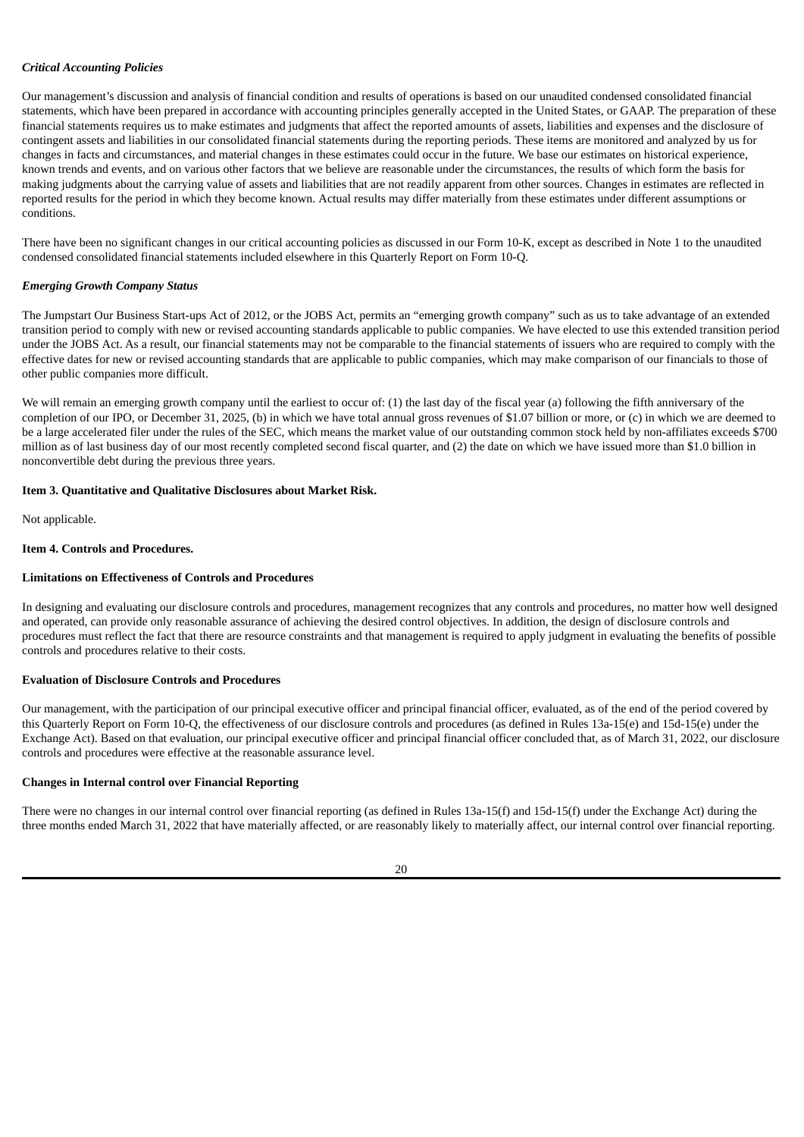# *Critical Accounting Policies*

Our management's discussion and analysis of financial condition and results of operations is based on our unaudited condensed consolidated financial statements, which have been prepared in accordance with accounting principles generally accepted in the United States, or GAAP. The preparation of these financial statements requires us to make estimates and judgments that affect the reported amounts of assets, liabilities and expenses and the disclosure of contingent assets and liabilities in our consolidated financial statements during the reporting periods. These items are monitored and analyzed by us for changes in facts and circumstances, and material changes in these estimates could occur in the future. We base our estimates on historical experience, known trends and events, and on various other factors that we believe are reasonable under the circumstances, the results of which form the basis for making judgments about the carrying value of assets and liabilities that are not readily apparent from other sources. Changes in estimates are reflected in reported results for the period in which they become known. Actual results may differ materially from these estimates under different assumptions or conditions.

There have been no significant changes in our critical accounting policies as discussed in our Form 10-K, except as described in Note 1 to the unaudited condensed consolidated financial statements included elsewhere in this Quarterly Report on Form 10-Q.

# *Emerging Growth Company Status*

The Jumpstart Our Business Start-ups Act of 2012, or the JOBS Act, permits an "emerging growth company" such as us to take advantage of an extended transition period to comply with new or revised accounting standards applicable to public companies. We have elected to use this extended transition period under the JOBS Act. As a result, our financial statements may not be comparable to the financial statements of issuers who are required to comply with the effective dates for new or revised accounting standards that are applicable to public companies, which may make comparison of our financials to those of other public companies more difficult.

We will remain an emerging growth company until the earliest to occur of: (1) the last day of the fiscal year (a) following the fifth anniversary of the completion of our IPO, or December 31, 2025, (b) in which we have total annual gross revenues of \$1.07 billion or more, or (c) in which we are deemed to be a large accelerated filer under the rules of the SEC, which means the market value of our outstanding common stock held by non-affiliates exceeds \$700 million as of last business day of our most recently completed second fiscal quarter, and (2) the date on which we have issued more than \$1.0 billion in nonconvertible debt during the previous three years.

# <span id="page-22-0"></span>**Item 3. Quantitative and Qualitative Disclosures about Market Risk.**

Not applicable.

# <span id="page-22-1"></span>**Item 4. Controls and Procedures.**

# **Limitations on Effectiveness of Controls and Procedures**

In designing and evaluating our disclosure controls and procedures, management recognizes that any controls and procedures, no matter how well designed and operated, can provide only reasonable assurance of achieving the desired control objectives. In addition, the design of disclosure controls and procedures must reflect the fact that there are resource constraints and that management is required to apply judgment in evaluating the benefits of possible controls and procedures relative to their costs.

# **Evaluation of Disclosure Controls and Procedures**

Our management, with the participation of our principal executive officer and principal financial officer, evaluated, as of the end of the period covered by this Quarterly Report on Form 10-Q, the effectiveness of our disclosure controls and procedures (as defined in Rules 13a-15(e) and 15d-15(e) under the Exchange Act). Based on that evaluation, our principal executive officer and principal financial officer concluded that, as of March 31, 2022, our disclosure controls and procedures were effective at the reasonable assurance level.

# **Changes in Internal control over Financial Reporting**

There were no changes in our internal control over financial reporting (as defined in Rules 13a-15(f) and 15d-15(f) under the Exchange Act) during the three months ended March 31, 2022 that have materially affected, or are reasonably likely to materially affect, our internal control over financial reporting.

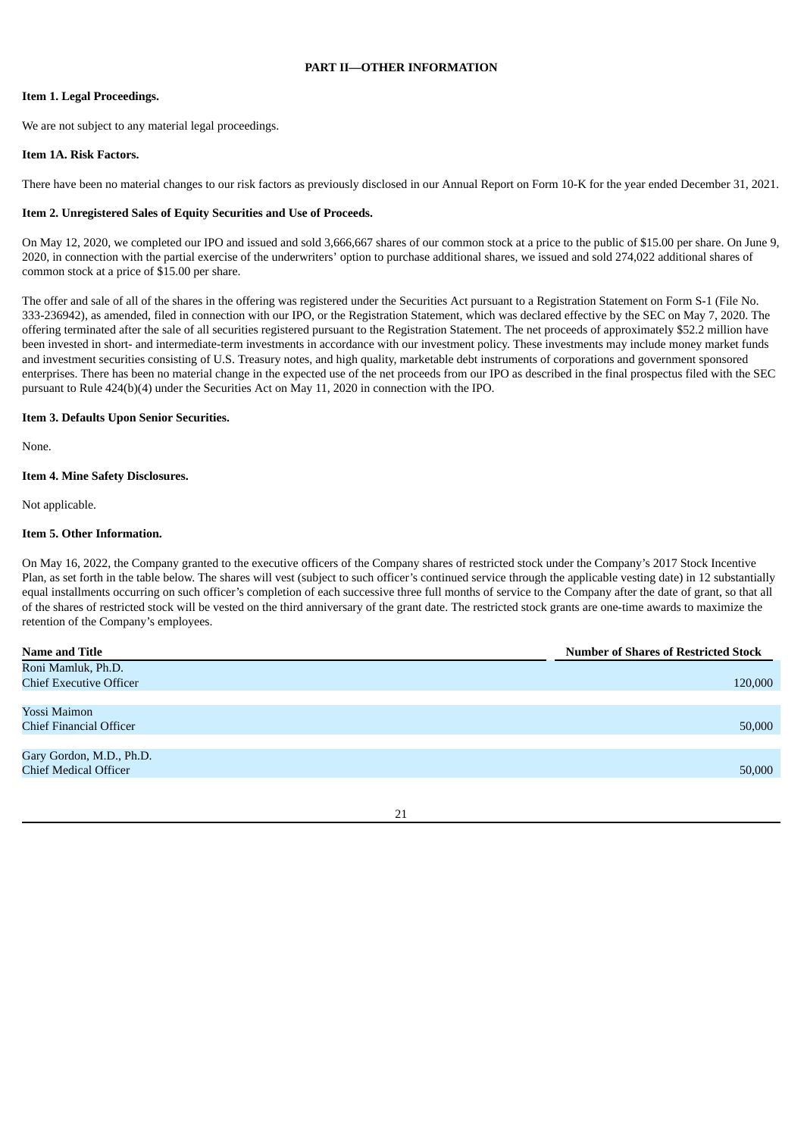# **PART II—OTHER INFORMATION**

# <span id="page-23-1"></span><span id="page-23-0"></span>**Item 1. Legal Proceedings.**

We are not subject to any material legal proceedings.

#### <span id="page-23-2"></span>**Item 1A. Risk Factors.**

There have been no material changes to our risk factors as previously disclosed in our Annual Report on Form 10-K for the year ended December 31, 2021.

#### <span id="page-23-3"></span>**Item 2. Unregistered Sales of Equity Securities and Use of Proceeds.**

On May 12, 2020, we completed our IPO and issued and sold 3,666,667 shares of our common stock at a price to the public of \$15.00 per share. On June 9, 2020, in connection with the partial exercise of the underwriters' option to purchase additional shares, we issued and sold 274,022 additional shares of common stock at a price of \$15.00 per share.

The offer and sale of all of the shares in the offering was registered under the Securities Act pursuant to a Registration Statement on Form S-1 (File No. 333-236942), as amended, filed in connection with our IPO, or the Registration Statement, which was declared effective by the SEC on May 7, 2020. The offering terminated after the sale of all securities registered pursuant to the Registration Statement. The net proceeds of approximately \$52.2 million have been invested in short- and intermediate-term investments in accordance with our investment policy. These investments may include money market funds and investment securities consisting of U.S. Treasury notes, and high quality, marketable debt instruments of corporations and government sponsored enterprises. There has been no material change in the expected use of the net proceeds from our IPO as described in the final prospectus filed with the SEC pursuant to Rule 424(b)(4) under the Securities Act on May 11, 2020 in connection with the IPO.

#### <span id="page-23-4"></span>**Item 3. Defaults Upon Senior Securities.**

None.

### <span id="page-23-5"></span>**Item 4. Mine Safety Disclosures.**

Not applicable.

### <span id="page-23-6"></span>**Item 5. Other Information.**

On May 16, 2022, the Company granted to the executive officers of the Company shares of restricted stock under the Company's 2017 Stock Incentive Plan, as set forth in the table below. The shares will vest (subject to such officer's continued service through the applicable vesting date) in 12 substantially equal installments occurring on such officer's completion of each successive three full months of service to the Company after the date of grant, so that all of the shares of restricted stock will be vested on the third anniversary of the grant date. The restricted stock grants are one-time awards to maximize the retention of the Company's employees.

| <b>Name and Title</b>          | <b>Number of Shares of Restricted Stock</b> |
|--------------------------------|---------------------------------------------|
| Roni Mamluk, Ph.D.             |                                             |
| <b>Chief Executive Officer</b> | 120,000                                     |
|                                |                                             |
| Yossi Maimon                   |                                             |
| Chief Financial Officer        | 50,000                                      |
|                                |                                             |
| Gary Gordon, M.D., Ph.D.       |                                             |
| <b>Chief Medical Officer</b>   | 50,000                                      |
|                                |                                             |

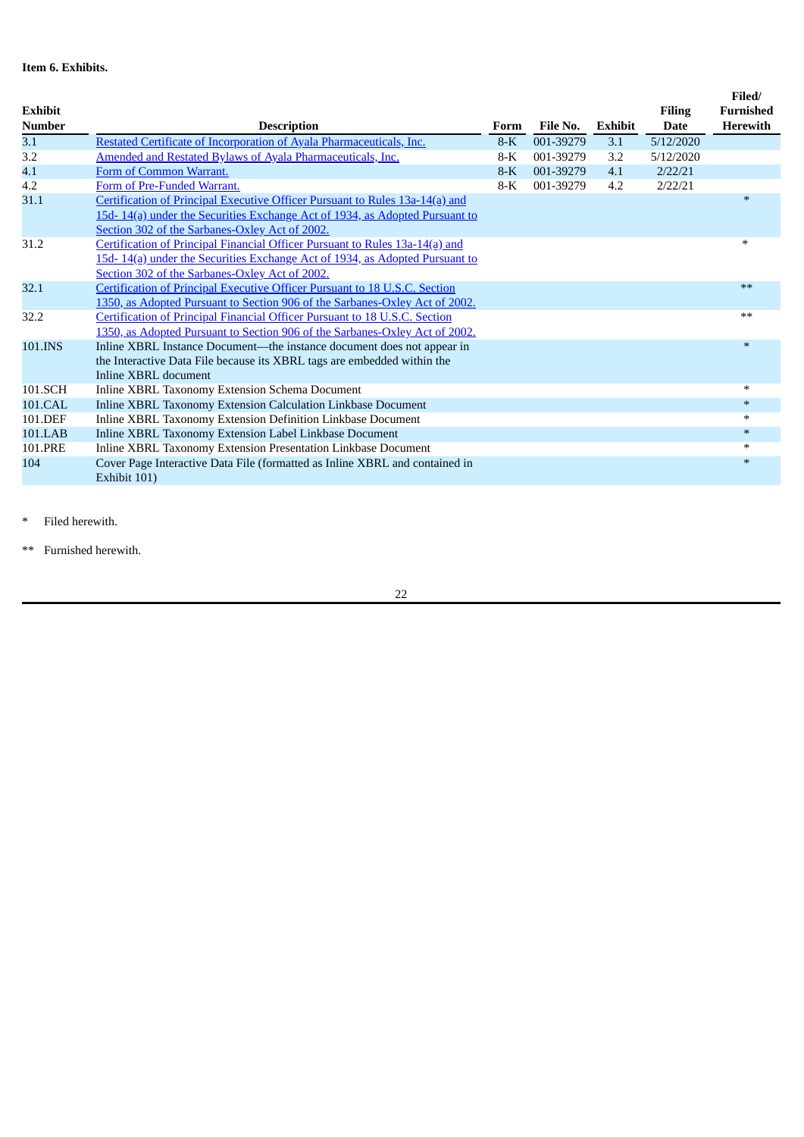# <span id="page-24-0"></span>**Item 6. Exhibits.**

| <b>Exhibit</b><br><b>Number</b> | <b>Description</b>                                                           | Form  | File No.  | <b>Exhibit</b> | <b>Filing</b><br><b>Date</b> | Filed/<br><b>Furnished</b><br><b>Herewith</b> |
|---------------------------------|------------------------------------------------------------------------------|-------|-----------|----------------|------------------------------|-----------------------------------------------|
| 3.1                             | Restated Certificate of Incorporation of Ayala Pharmaceuticals, Inc.         | $8-K$ | 001-39279 | 3.1            | 5/12/2020                    |                                               |
| 3.2                             | Amended and Restated Bylaws of Ayala Pharmaceuticals, Inc.                   | $8-K$ | 001-39279 | 3.2            | 5/12/2020                    |                                               |
| 4.1                             | Form of Common Warrant.                                                      | $8-K$ | 001-39279 | 4.1            | 2/22/21                      |                                               |
| 4.2                             | Form of Pre-Funded Warrant.                                                  | $8-K$ | 001-39279 | 4.2            | 2/22/21                      |                                               |
| 31.1                            | Certification of Principal Executive Officer Pursuant to Rules 13a-14(a) and |       |           |                |                              | $\ast$                                        |
|                                 | 15d-14(a) under the Securities Exchange Act of 1934, as Adopted Pursuant to  |       |           |                |                              |                                               |
|                                 | Section 302 of the Sarbanes-Oxley Act of 2002.                               |       |           |                |                              |                                               |
| 31.2                            | Certification of Principal Financial Officer Pursuant to Rules 13a-14(a) and |       |           |                |                              | $\ast$                                        |
|                                 | 15d-14(a) under the Securities Exchange Act of 1934, as Adopted Pursuant to  |       |           |                |                              |                                               |
|                                 | Section 302 of the Sarbanes-Oxley Act of 2002.                               |       |           |                |                              |                                               |
| 32.1                            | Certification of Principal Executive Officer Pursuant to 18 U.S.C. Section   |       |           |                |                              | $***$                                         |
|                                 | 1350, as Adopted Pursuant to Section 906 of the Sarbanes-Oxley Act of 2002.  |       |           |                |                              |                                               |
| 32.2                            | Certification of Principal Financial Officer Pursuant to 18 U.S.C. Section   |       |           |                |                              | $**$                                          |
|                                 | 1350, as Adopted Pursuant to Section 906 of the Sarbanes-Oxley Act of 2002.  |       |           |                |                              |                                               |
| 101.INS                         | Inline XBRL Instance Document-the instance document does not appear in       |       |           |                |                              | $\ast$                                        |
|                                 | the Interactive Data File because its XBRL tags are embedded within the      |       |           |                |                              |                                               |
|                                 | Inline XBRL document                                                         |       |           |                |                              |                                               |
| 101.SCH                         | Inline XBRL Taxonomy Extension Schema Document                               |       |           |                |                              | $\ast$                                        |
| 101.CAL                         | Inline XBRL Taxonomy Extension Calculation Linkbase Document                 |       |           |                |                              | $\ast$                                        |
| 101.DEF                         | Inline XBRL Taxonomy Extension Definition Linkbase Document                  |       |           |                |                              | $\ast$                                        |
| 101.LAB                         | Inline XBRL Taxonomy Extension Label Linkbase Document                       |       |           |                |                              | $\ast$                                        |
| 101.PRE                         | Inline XBRL Taxonomy Extension Presentation Linkbase Document                |       |           |                |                              | $\ast$                                        |
| 104                             | Cover Page Interactive Data File (formatted as Inline XBRL and contained in  |       |           |                |                              | $\ast$                                        |
|                                 | Exhibit 101)                                                                 |       |           |                |                              |                                               |

\* Filed herewith.

\*\* Furnished herewith.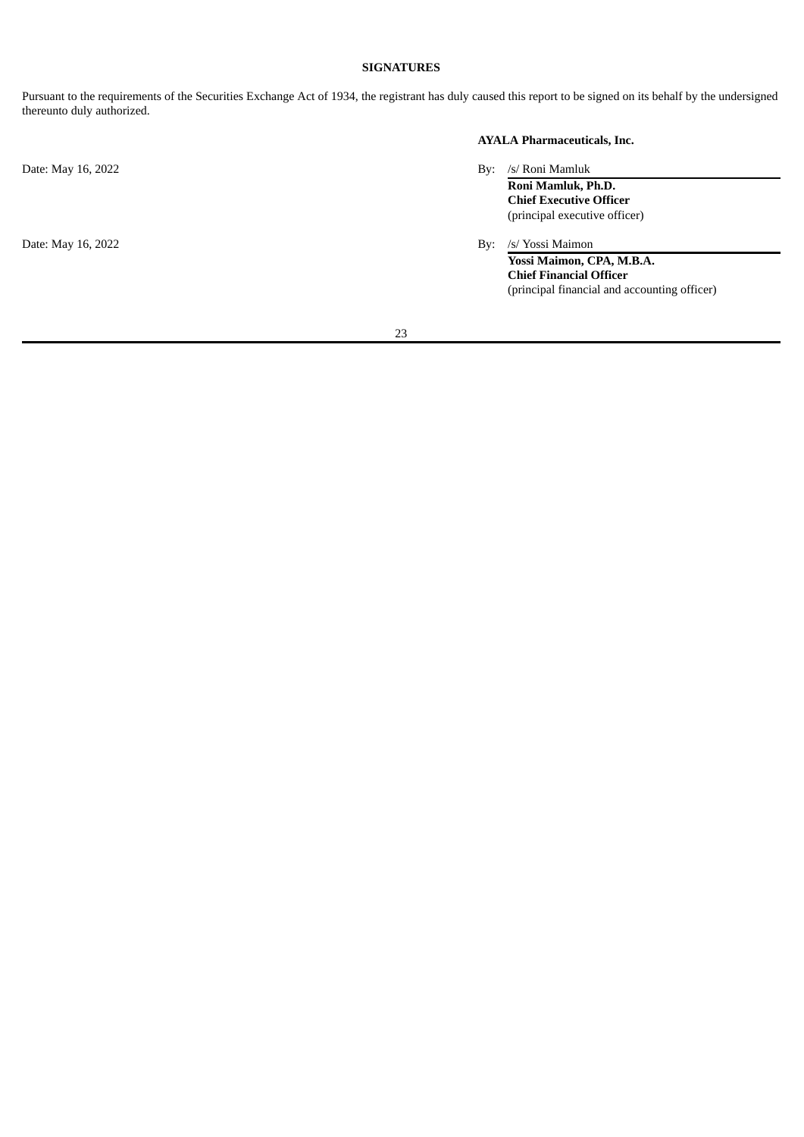# **SIGNATURES**

<span id="page-25-0"></span>Pursuant to the requirements of the Securities Exchange Act of 1934, the registrant has duly caused this report to be signed on its behalf by the undersigned thereunto duly authorized.

# **AYALA Pharmaceuticals, Inc.**

| Date: May 16, 2022 | Bv: | /s/ Roni Mamluk<br>Roni Mamluk, Ph.D.<br><b>Chief Executive Officer</b><br>(principal executive officer)                        |
|--------------------|-----|---------------------------------------------------------------------------------------------------------------------------------|
| Date: May 16, 2022 | By: | /s/ Yossi Maimon<br>Yossi Maimon, CPA, M.B.A.<br><b>Chief Financial Officer</b><br>(principal financial and accounting officer) |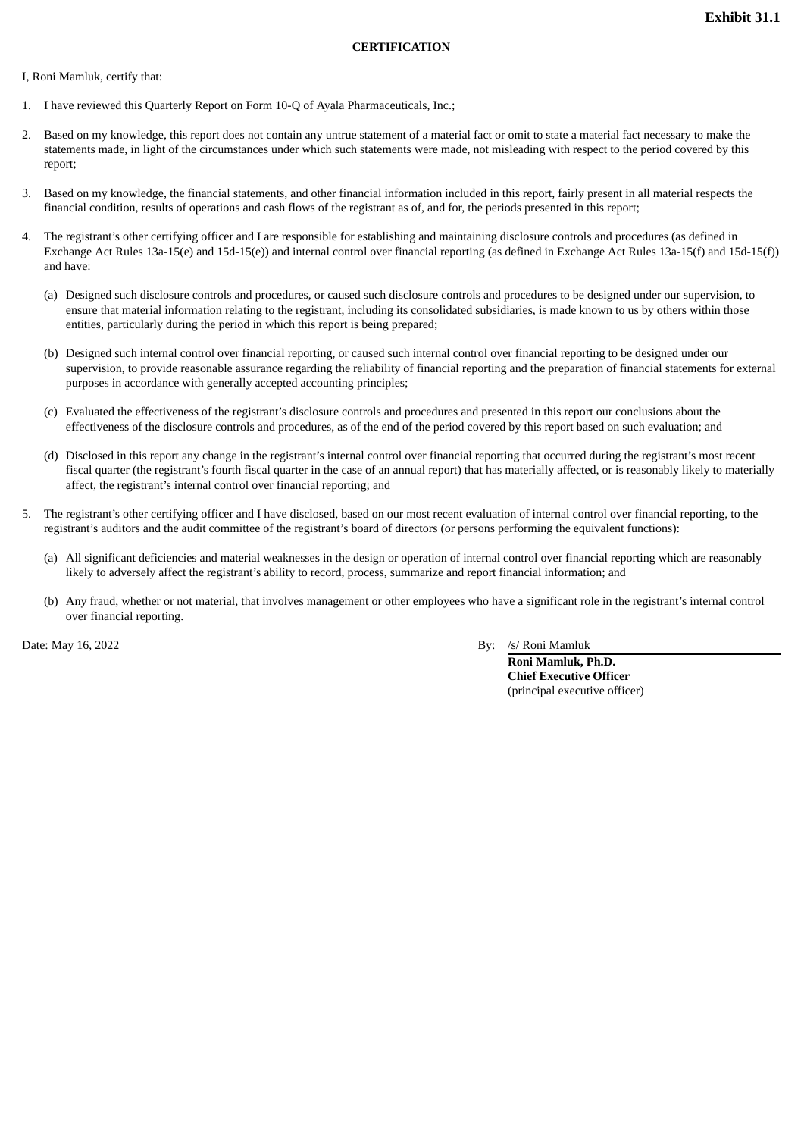### **CERTIFICATION**

<span id="page-26-0"></span>I, Roni Mamluk, certify that:

- 1. I have reviewed this Quarterly Report on Form 10-Q of Ayala Pharmaceuticals, Inc.;
- 2. Based on my knowledge, this report does not contain any untrue statement of a material fact or omit to state a material fact necessary to make the statements made, in light of the circumstances under which such statements were made, not misleading with respect to the period covered by this report;
- 3. Based on my knowledge, the financial statements, and other financial information included in this report, fairly present in all material respects the financial condition, results of operations and cash flows of the registrant as of, and for, the periods presented in this report;
- 4. The registrant's other certifying officer and I are responsible for establishing and maintaining disclosure controls and procedures (as defined in Exchange Act Rules 13a-15(e) and 15d-15(e)) and internal control over financial reporting (as defined in Exchange Act Rules 13a-15(f) and 15d-15(f)) and have:
	- (a) Designed such disclosure controls and procedures, or caused such disclosure controls and procedures to be designed under our supervision, to ensure that material information relating to the registrant, including its consolidated subsidiaries, is made known to us by others within those entities, particularly during the period in which this report is being prepared;
	- (b) Designed such internal control over financial reporting, or caused such internal control over financial reporting to be designed under our supervision, to provide reasonable assurance regarding the reliability of financial reporting and the preparation of financial statements for external purposes in accordance with generally accepted accounting principles;
	- (c) Evaluated the effectiveness of the registrant's disclosure controls and procedures and presented in this report our conclusions about the effectiveness of the disclosure controls and procedures, as of the end of the period covered by this report based on such evaluation; and
	- (d) Disclosed in this report any change in the registrant's internal control over financial reporting that occurred during the registrant's most recent fiscal quarter (the registrant's fourth fiscal quarter in the case of an annual report) that has materially affected, or is reasonably likely to materially affect, the registrant's internal control over financial reporting; and
- 5. The registrant's other certifying officer and I have disclosed, based on our most recent evaluation of internal control over financial reporting, to the registrant's auditors and the audit committee of the registrant's board of directors (or persons performing the equivalent functions):
	- (a) All significant deficiencies and material weaknesses in the design or operation of internal control over financial reporting which are reasonably likely to adversely affect the registrant's ability to record, process, summarize and report financial information; and
	- (b) Any fraud, whether or not material, that involves management or other employees who have a significant role in the registrant's internal control over financial reporting.

Date: May 16, 2022 By: /s/ Roni Mamluk

**Roni Mamluk, Ph.D. Chief Executive Officer** (principal executive officer)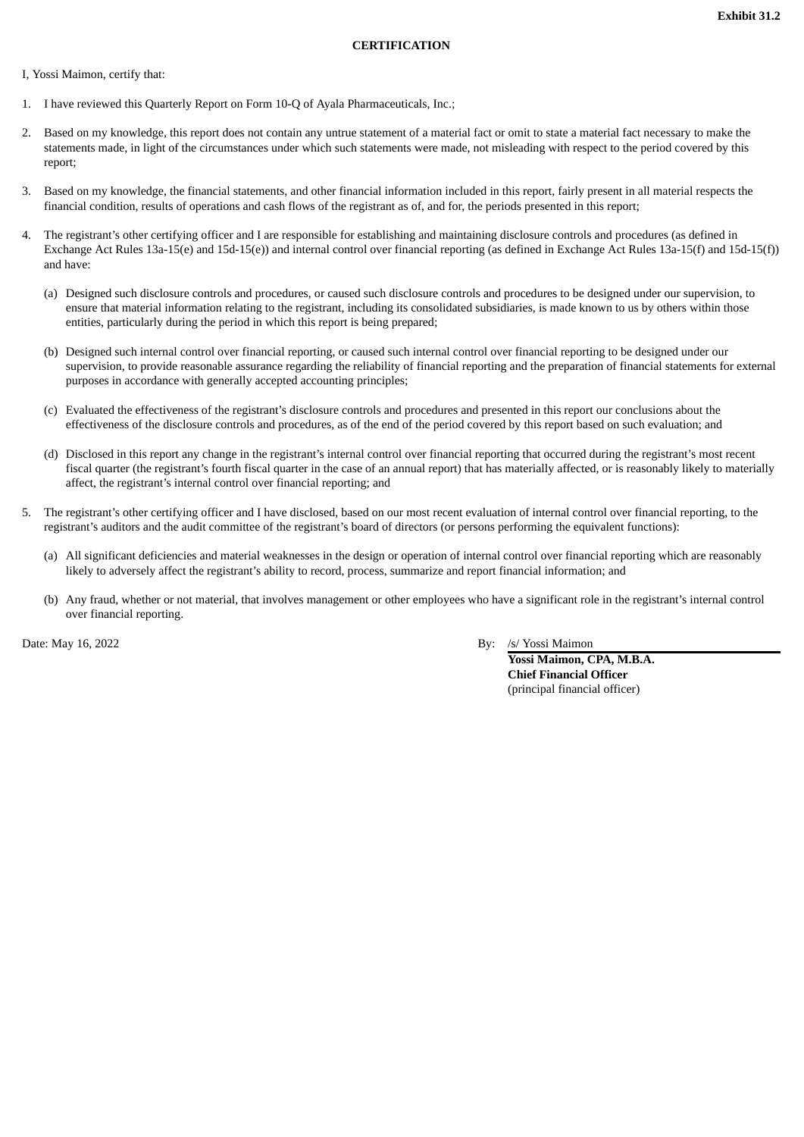# **CERTIFICATION**

<span id="page-27-0"></span>I, Yossi Maimon, certify that:

- 1. I have reviewed this Quarterly Report on Form 10-Q of Ayala Pharmaceuticals, Inc.;
- 2. Based on my knowledge, this report does not contain any untrue statement of a material fact or omit to state a material fact necessary to make the statements made, in light of the circumstances under which such statements were made, not misleading with respect to the period covered by this report;
- 3. Based on my knowledge, the financial statements, and other financial information included in this report, fairly present in all material respects the financial condition, results of operations and cash flows of the registrant as of, and for, the periods presented in this report;
- 4. The registrant's other certifying officer and I are responsible for establishing and maintaining disclosure controls and procedures (as defined in Exchange Act Rules 13a-15(e) and 15d-15(e)) and internal control over financial reporting (as defined in Exchange Act Rules 13a-15(f) and 15d-15(f)) and have:
	- (a) Designed such disclosure controls and procedures, or caused such disclosure controls and procedures to be designed under our supervision, to ensure that material information relating to the registrant, including its consolidated subsidiaries, is made known to us by others within those entities, particularly during the period in which this report is being prepared;
	- (b) Designed such internal control over financial reporting, or caused such internal control over financial reporting to be designed under our supervision, to provide reasonable assurance regarding the reliability of financial reporting and the preparation of financial statements for external purposes in accordance with generally accepted accounting principles;
	- (c) Evaluated the effectiveness of the registrant's disclosure controls and procedures and presented in this report our conclusions about the effectiveness of the disclosure controls and procedures, as of the end of the period covered by this report based on such evaluation; and
	- (d) Disclosed in this report any change in the registrant's internal control over financial reporting that occurred during the registrant's most recent fiscal quarter (the registrant's fourth fiscal quarter in the case of an annual report) that has materially affected, or is reasonably likely to materially affect, the registrant's internal control over financial reporting; and
- 5. The registrant's other certifying officer and I have disclosed, based on our most recent evaluation of internal control over financial reporting, to the registrant's auditors and the audit committee of the registrant's board of directors (or persons performing the equivalent functions):
	- (a) All significant deficiencies and material weaknesses in the design or operation of internal control over financial reporting which are reasonably likely to adversely affect the registrant's ability to record, process, summarize and report financial information; and
	- (b) Any fraud, whether or not material, that involves management or other employees who have a significant role in the registrant's internal control over financial reporting.

Date: May 16, 2022 By: /s/ Yossi Maimon

**Yossi Maimon, CPA, M.B.A. Chief Financial Officer** (principal financial officer)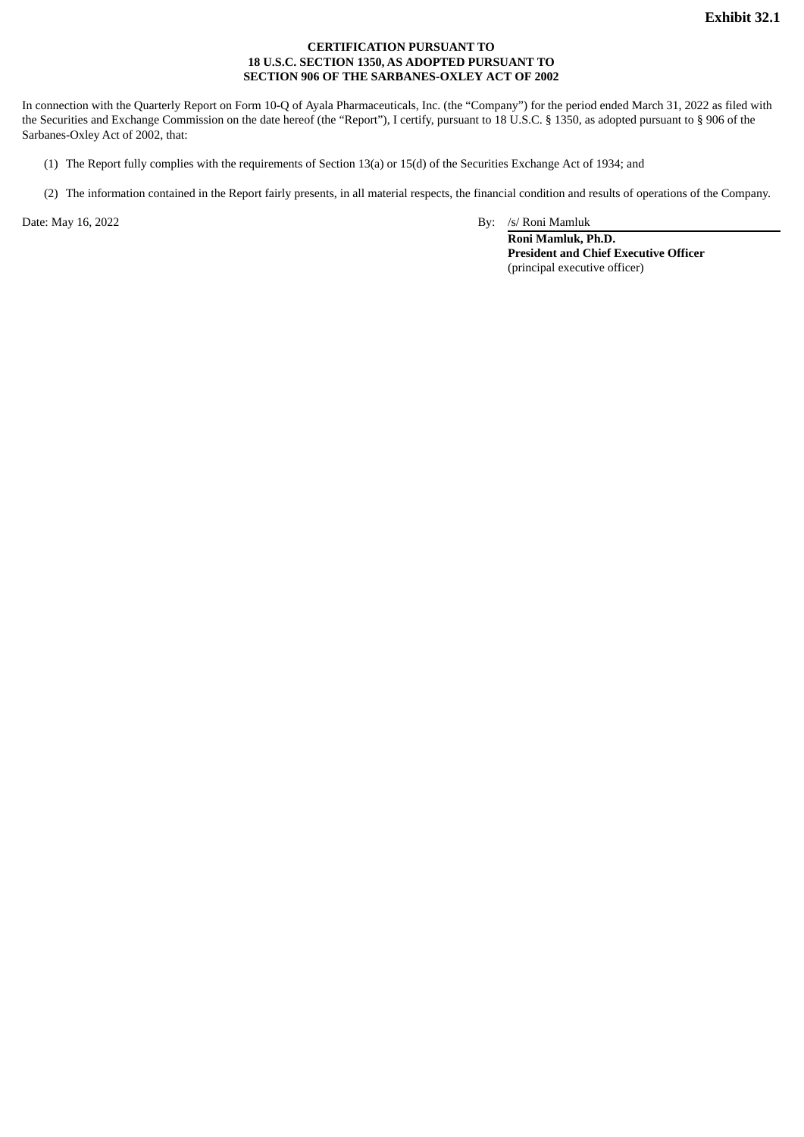# **CERTIFICATION PURSUANT TO 18 U.S.C. SECTION 1350, AS ADOPTED PURSUANT TO SECTION 906 OF THE SARBANES-OXLEY ACT OF 2002**

<span id="page-28-0"></span>In connection with the Quarterly Report on Form 10-Q of Ayala Pharmaceuticals, Inc. (the "Company") for the period ended March 31, 2022 as filed with the Securities and Exchange Commission on the date hereof (the "Report"), I certify, pursuant to 18 U.S.C. § 1350, as adopted pursuant to § 906 of the Sarbanes-Oxley Act of 2002, that:

- (1) The Report fully complies with the requirements of Section 13(a) or 15(d) of the Securities Exchange Act of 1934; and
- (2) The information contained in the Report fairly presents, in all material respects, the financial condition and results of operations of the Company.

Date: May 16, 2022 By: /s/ Roni Mamluk

**Roni Mamluk, Ph.D. President and Chief Executive Officer** (principal executive officer)